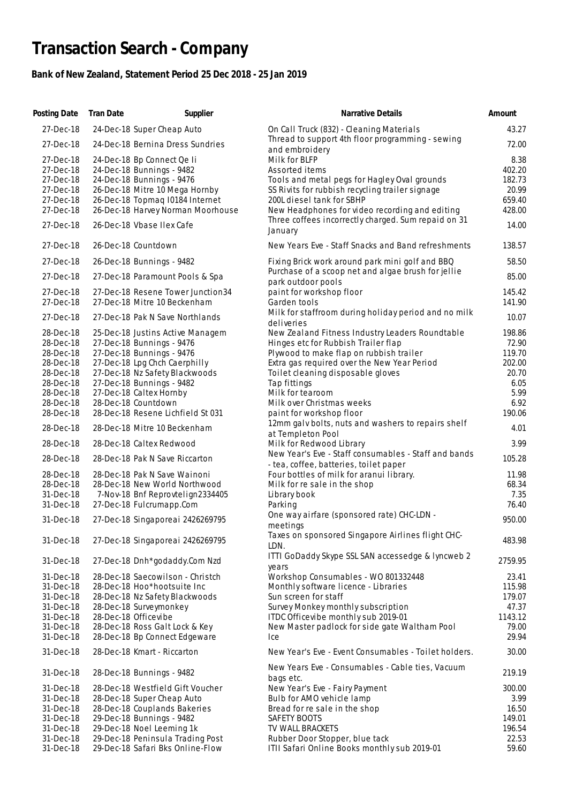## **Transaction Search - Company**

## **Bank of New Zealand, Statement Period 25 Dec 2018 - 25 Jan 2019**

| Posting Date | <b>Tran Date</b> | Supplier                           | Narrative Details                                                                              | Amount  |
|--------------|------------------|------------------------------------|------------------------------------------------------------------------------------------------|---------|
| 27-Dec-18    |                  | 24-Dec-18 Super Cheap Auto         | On Call Truck (832) - Cleaning Materials                                                       | 43.27   |
| 27-Dec-18    |                  | 24-Dec-18 Bernina Dress Sundries   | Thread to support 4th floor programming - sewing<br>and embroidery                             | 72.00   |
| 27-Dec-18    |                  | 24-Dec-18 Bp Connect Qe Ii         | Milk for BLFP                                                                                  | 8.38    |
| 27-Dec-18    |                  | 24-Dec-18 Bunnings - 9482          | Assorted items                                                                                 | 402.20  |
| 27-Dec-18    |                  | 24-Dec-18 Bunnings - 9476          | Tools and metal pegs for Hagley Oval grounds                                                   | 182.73  |
| 27-Dec-18    |                  | 26-Dec-18 Mitre 10 Mega Hornby     | SS Rivits for rubbish recycling trailer signage                                                | 20.99   |
| 27-Dec-18    |                  | 26-Dec-18 Topmag I0184 Internet    | 200L diesel tank for SBHP                                                                      | 659.40  |
|              |                  |                                    |                                                                                                |         |
| 27-Dec-18    |                  | 26-Dec-18 Harvey Norman Moorhouse  | New Headphones for video recording and editing                                                 | 428.00  |
| 27-Dec-18    |                  | 26-Dec-18 Vbase Ilex Cafe          | Three coffees incorrectly charged. Sum repaid on 31<br>January                                 | 14.00   |
| 27-Dec-18    |                  | 26-Dec-18 Countdown                | New Years Eve - Staff Snacks and Band refreshments                                             | 138.57  |
| 27-Dec-18    |                  | 26-Dec-18 Bunnings - 9482          | Fixing Brick work around park mini golf and BBQ                                                | 58.50   |
| 27-Dec-18    |                  | 27-Dec-18 Paramount Pools & Spa    | Purchase of a scoop net and algae brush for jellie<br>park outdoor pools                       | 85.00   |
| 27-Dec-18    |                  | 27-Dec-18 Resene Tower Junction 34 | paint for workshop floor                                                                       | 145.42  |
| 27-Dec-18    |                  | 27-Dec-18 Mitre 10 Beckenham       | Garden tools                                                                                   |         |
|              |                  |                                    |                                                                                                | 141.90  |
| 27-Dec-18    |                  | 27-Dec-18 Pak N Save Northlands    | Milk for staffroom during holiday period and no milk<br>deliveries                             | 10.07   |
| 28-Dec-18    |                  | 25-Dec-18 Justins Active Managem   | New Zealand Fitness Industry Leaders Roundtable                                                | 198.86  |
| 28-Dec-18    |                  | 27-Dec-18 Bunnings - 9476          | Hinges etc for Rubbish Trailer flap                                                            | 72.90   |
| 28-Dec-18    |                  | 27-Dec-18 Bunnings - 9476          | Plywood to make flap on rubbish trailer                                                        | 119.70  |
| 28-Dec-18    |                  | 27-Dec-18 Lpg Chch Caerphilly      | Extra gas required over the New Year Period                                                    | 202.00  |
| 28-Dec-18    |                  | 27-Dec-18 Nz Safety Blackwoods     | Toilet cleaning disposable gloves                                                              | 20.70   |
| 28-Dec-18    |                  | 27-Dec-18 Bunnings - 9482          | Tap fittings                                                                                   | 6.05    |
| 28-Dec-18    |                  | 27-Dec-18 Caltex Hornby            | Milk for tearoom                                                                               | 5.99    |
|              |                  |                                    |                                                                                                |         |
| 28-Dec-18    |                  | 28-Dec-18 Countdown                | Milk over Christmas weeks                                                                      | 6.92    |
| 28-Dec-18    |                  | 28-Dec-18 Resene Lichfield St 031  | paint for workshop floor                                                                       | 190.06  |
| 28-Dec-18    |                  | 28-Dec-18 Mitre 10 Beckenham       | 12mm galv bolts, nuts and washers to repairs shelf<br>at Templeton Pool                        | 4.01    |
| 28-Dec-18    |                  | 28-Dec-18 Caltex Redwood           | Milk for Redwood Library                                                                       | 3.99    |
| 28-Dec-18    |                  | 28-Dec-18 Pak N Save Riccarton     | New Year's Eve - Staff consumables - Staff and bands<br>- tea, coffee, batteries, toilet paper | 105.28  |
| 28-Dec-18    |                  | 28-Dec-18 Pak N Save Wainoni       | Four bottles of milk for aranui library.                                                       | 11.98   |
| 28-Dec-18    |                  | 28-Dec-18 New World Northwood      | Milk for re sale in the shop                                                                   | 68.34   |
| 31-Dec-18    |                  | 7-Nov-18 Bnf Reprovtelign2334405   | Library book                                                                                   | 7.35    |
| 31-Dec-18    |                  | 27-Dec-18 Fulcrumapp.Com           | Parking                                                                                        | 76.40   |
|              |                  |                                    | One way airfare (sponsored rate) CHC-LDN -                                                     |         |
| 31-Dec-18    |                  | 27-Dec-18 Singaporeai 2426269795   | meetings                                                                                       | 950.00  |
| 31-Dec-18    |                  | 27-Dec-18 Singaporeai 2426269795   | Taxes on sponsored Singapore Airlines flight CHC-<br>LDN.                                      | 483.98  |
|              |                  |                                    | ITTI GoDaddy Skype SSL SAN accessedge & lyncweb 2                                              |         |
| 31-Dec-18    |                  | 27-Dec-18 Dnh*godaddy.Com Nzd      | years                                                                                          | 2759.95 |
| 31-Dec-18    |                  | 28-Dec-18 Saecowilson - Christch   | Workshop Consumables - WO 801332448                                                            | 23.41   |
| 31-Dec-18    |                  | 28-Dec-18 Hoo*hootsuite Inc        | Monthly software licence - Libraries                                                           | 115.98  |
| 31-Dec-18    |                  | 28-Dec-18 Nz Safety Blackwoods     | Sun screen for staff                                                                           | 179.07  |
| 31-Dec-18    |                  | 28-Dec-18 Surveymonkey             | Survey Monkey monthly subscription                                                             | 47.37   |
| 31-Dec-18    |                  | 28-Dec-18 Officevibe               | ITDC Officevibe monthly sub 2019-01                                                            | 1143.12 |
| 31-Dec-18    |                  | 28-Dec-18 Ross Galt Lock & Key     | New Master padlock for side gate Waltham Pool                                                  | 79.00   |
| 31-Dec-18    |                  | 28-Dec-18 Bp Connect Edgeware      | Ice                                                                                            | 29.94   |
| 31-Dec-18    |                  | 28-Dec-18 Kmart - Riccarton        | New Year's Eve - Event Consumables - Toilet holders.                                           | 30.00   |
| 31-Dec-18    |                  | 28-Dec-18 Bunnings - 9482          | New Years Eve - Consumables - Cable ties, Vacuum<br>bags etc.                                  | 219.19  |
| 31-Dec-18    |                  | 28-Dec-18 Westfield Gift Voucher   | New Year's Eve - Fairy Payment                                                                 | 300.00  |
| 31-Dec-18    |                  | 28-Dec-18 Super Cheap Auto         | Bulb for AMO vehicle lamp                                                                      | 3.99    |
|              |                  |                                    |                                                                                                |         |
| 31-Dec-18    |                  | 28-Dec-18 Couplands Bakeries       | Bread for re sale in the shop                                                                  | 16.50   |
| 31-Dec-18    |                  | 29-Dec-18 Bunnings - 9482          | SAFETY BOOTS                                                                                   | 149.01  |
| 31-Dec-18    |                  | 29-Dec-18 Noel Leeming 1k          | TV WALL BRACKETS                                                                               | 196.54  |
| 31-Dec-18    |                  | 29-Dec-18 Peninsula Trading Post   | Rubber Door Stopper, blue tack                                                                 | 22.53   |
| 31-Dec-18    |                  | 29-Dec-18 Safari Bks Online-Flow   | ITII Safari Online Books monthly sub 2019-01                                                   | 59.60   |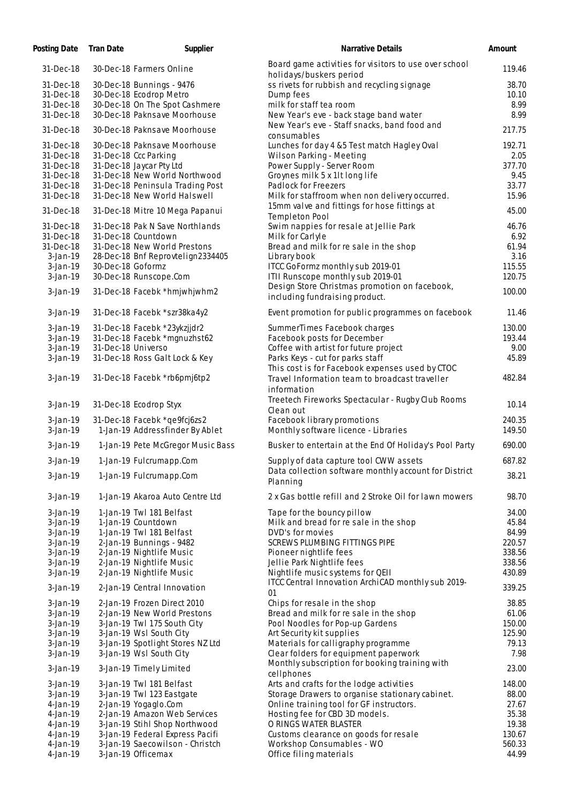| Posting Date               | <b>Tran Date</b>   | Supplier                                           | <b>Narrative Details</b>                                                                | Amount        |
|----------------------------|--------------------|----------------------------------------------------|-----------------------------------------------------------------------------------------|---------------|
| 31-Dec-18                  |                    | 30-Dec-18 Farmers Online                           | Board game activities for visitors to use over school<br>holidays/buskers period        | 119.46        |
| 31-Dec-18                  |                    | 30-Dec-18 Bunnings - 9476                          | ss rivets for rubbish and recycling signage                                             | 38.70         |
| 31-Dec-18                  |                    | 30-Dec-18 Ecodrop Metro                            | Dump fees                                                                               | 10.10         |
| 31-Dec-18                  |                    | 30-Dec-18 On The Spot Cashmere                     | milk for staff tea room                                                                 | 8.99          |
| 31-Dec-18                  |                    | 30-Dec-18 Paknsave Moorhouse                       | New Year's eve - back stage band water                                                  | 8.99          |
|                            |                    |                                                    | New Year's eve - Staff snacks, band food and                                            |               |
| 31-Dec-18                  |                    | 30-Dec-18 Paknsave Moorhouse                       | consumables                                                                             | 217.75        |
| 31-Dec-18                  |                    | 30-Dec-18 Paknsave Moorhouse                       | Lunches for day 4 &5 Test match Hagley Oval                                             | 192.71        |
| 31-Dec-18                  |                    | 31-Dec-18 Ccc Parking                              | Wilson Parking - Meeting                                                                | 2.05          |
| 31-Dec-18                  |                    | 31-Dec-18 Jaycar Pty Ltd                           | Power Supply - Server Room                                                              | 377.70        |
| 31-Dec-18                  |                    | 31-Dec-18 New World Northwood                      | Groynes milk 5 x 1lt long life                                                          | 9.45          |
| 31-Dec-18                  |                    | 31-Dec-18 Peninsula Trading Post                   | Padlock for Freezers                                                                    | 33.77         |
| 31-Dec-18                  |                    | 31-Dec-18 New World Halswell                       | Milk for staffroom when non delivery occurred.                                          | 15.96         |
|                            |                    |                                                    | 15mm valve and fittings for hose fittings at                                            |               |
| 31-Dec-18                  |                    | 31-Dec-18 Mitre 10 Mega Papanui                    | Templeton Pool                                                                          | 45.00         |
| 31-Dec-18                  |                    | 31-Dec-18 Pak N Save Northlands                    | Swim nappies for resale at Jellie Park                                                  | 46.76         |
| 31-Dec-18                  |                    | 31-Dec-18 Countdown                                | Milk for Carlyle                                                                        | 6.92          |
| 31-Dec-18                  |                    | 31-Dec-18 New World Prestons                       | Bread and milk for re sale in the shop                                                  | 61.94         |
| $3-Jan-19$                 |                    | 28-Dec-18 Bnf Reprovtelign2334405                  | Library book                                                                            | 3.16          |
| $3-Jan-19$                 | 30-Dec-18 Goformz  |                                                    | ITCC GoFormz monthly sub 2019-01                                                        | 115.55        |
| $3-Jan-19$                 |                    | 30-Dec-18 Runscope.Com                             | ITII Runscope monthly sub 2019-01                                                       | 120.75        |
|                            |                    |                                                    | Design Store Christmas promotion on facebook,                                           |               |
| $3-Ja n-19$                |                    | 31-Dec-18 Facebk *hmjwhjwhm2                       | including fundraising product.                                                          | 100.00        |
| $3-Jan-19$                 |                    | 31-Dec-18 Facebk *szr38ka4y2                       | Event promotion for public programmes on facebook                                       | 11.46         |
| $3-Ja n-19$                |                    | 31-Dec-18 Facebk *23ykzjjdr2                       | SummerTimes Facebook charges                                                            | 130.00        |
| $3-Jan-19$                 |                    | 31-Dec-18 Facebk *mgnuzhst62                       | Facebook posts for December                                                             | 193.44        |
| $3-Jan-19$                 | 31-Dec-18 Universo |                                                    | Coffee with artist for future project                                                   | 9.00          |
| $3-Jan-19$                 |                    | 31-Dec-18 Ross Galt Lock & Key                     | Parks Keys - cut for parks staff                                                        | 45.89         |
|                            |                    |                                                    | This cost is for Facebook expenses used by CTOC                                         |               |
| $3-Jan-19$                 |                    | 31-Dec-18 Facebk *rb6pmj6tp2                       | Travel Information team to broadcast traveller                                          | 482.84        |
|                            |                    |                                                    | information                                                                             |               |
|                            |                    |                                                    | Treetech Fireworks Spectacular - Rugby Club Rooms                                       |               |
| $3-Jan-19$                 |                    | 31-Dec-18 Ecodrop Styx                             | Clean out                                                                               | 10.14         |
| $3-Ja n-19$                |                    | 31-Dec-18 Facebk *qe9fcj6zs2                       | Facebook library promotions                                                             | 240.35        |
| $3-Jan-19$                 |                    | 1-Jan-19 Addressfinder By Ablet                    | Monthly software licence - Libraries                                                    | 149.50        |
|                            |                    |                                                    |                                                                                         |               |
| $3-Jan-19$                 |                    | 1-Jan-19 Pete McGregor Music Bass                  | Busker to entertain at the End Of Holiday's Pool Party                                  | 690.00        |
| $3$ -Jan-19                |                    | 1-Jan-19 Fulcrumapp.Com                            | Supply of data capture tool CWW assets                                                  | 687.82        |
| $3-Ja n-19$                |                    | 1-Jan-19 Fulcrumapp.Com                            | Data collection software monthly account for District                                   | 38.21         |
|                            |                    |                                                    | Planning                                                                                |               |
| $3-Jan-19$                 |                    | 1-Jan-19 Akaroa Auto Centre Ltd                    | 2 x Gas bottle refill and 2 Stroke Oil for lawn mowers                                  | 98.70         |
| $3-Jan-19$                 |                    | 1-Jan-19 Twl 181 Belfast                           | Tape for the bouncy pillow                                                              | 34.00         |
| $3-Jan-19$                 |                    | 1-Jan-19 Countdown                                 | Milk and bread for re sale in the shop                                                  | 45.84         |
| $3-Jan-19$                 |                    | 1-Jan-19 Twl 181 Belfast                           | DVD's for movies                                                                        | 84.99         |
| 3-Jan-19                   |                    | 2-Jan-19 Bunnings - 9482                           | SCREWS PLUMBING FITTINGS PIPE                                                           | 220.57        |
| $3-Jan-19$                 |                    | 2-Jan-19 Nightlife Music                           | Pioneer nightlife fees                                                                  | 338.56        |
| $3-Jan-19$                 |                    | 2-Jan-19 Nightlife Music                           | Jellie Park Nightlife fees                                                              | 338.56        |
| $3-Jan-19$                 |                    | 2-Jan-19 Nightlife Music                           | Nightlife music systems for QEII                                                        | 430.89        |
| $3-Ja n-19$                |                    | 2-Jan-19 Central Innovation                        | ITCC Central Innovation ArchiCAD monthly sub 2019-<br>01                                | 339.25        |
| $3-Ja n-19$                |                    | 2-Jan-19 Frozen Direct 2010                        | Chips for resale in the shop                                                            | 38.85         |
| $3-Jan-19$                 |                    | 2-Jan-19 New World Prestons                        | Bread and milk for re sale in the shop                                                  | 61.06         |
| $3-Jan-19$                 |                    | 3-Jan-19 Twl 175 South City                        | Pool Noodles for Pop-up Gardens                                                         | 150.00        |
|                            |                    |                                                    |                                                                                         |               |
| $3-Ja n-19$                |                    | 3-Jan-19 Wsl South City                            | Art Security kit supplies                                                               | 125.90        |
| $3-Jan-19$                 |                    | 3-Jan-19 Spotlight Stores NZ Ltd                   | Materials for calligraphy programme                                                     | 79.13<br>7.98 |
| $3-Ja n-19$<br>$3-Ja n-19$ |                    | 3-Jan-19 Wsl South City<br>3-Jan-19 Timely Limited | Clear folders for equipment paperwork<br>Monthly subscription for booking training with | 23.00         |
|                            |                    |                                                    | cellphones                                                                              |               |
| $3$ -Jan-19                |                    | 3-Jan-19 Twl 181 Belfast                           | Arts and crafts for the lodge activities                                                | 148.00        |
| $3-Ja n-19$                |                    | 3-Jan-19 Twl 123 Eastgate                          | Storage Drawers to organise stationary cabinet.                                         | 88.00         |
| 4-Jan-19                   |                    | 2-Jan-19 Yogaglo.Com                               | Online training tool for GF instructors.                                                | 27.67         |
| 4-Jan-19                   |                    | 2-Jan-19 Amazon Web Services                       | Hosting fee for CBD 3D models.                                                          | 35.38         |
| 4-Jan-19                   |                    | 3-Jan-19 Stihl Shop Northwood                      | O RINGS WATER BLASTER                                                                   | 19.38         |
| 4-Jan-19                   |                    | 3-Jan-19 Federal Express Pacifi                    | Customs clearance on goods for resale                                                   | 130.67        |
| 4-Jan-19                   |                    | 3-Jan-19 Saecowilson - Christch                    | Workshop Consumables - WO                                                               | 560.33        |
| 4-Jan-19                   |                    | 3-Jan-19 Officemax                                 | Office filing materials                                                                 | 44.99         |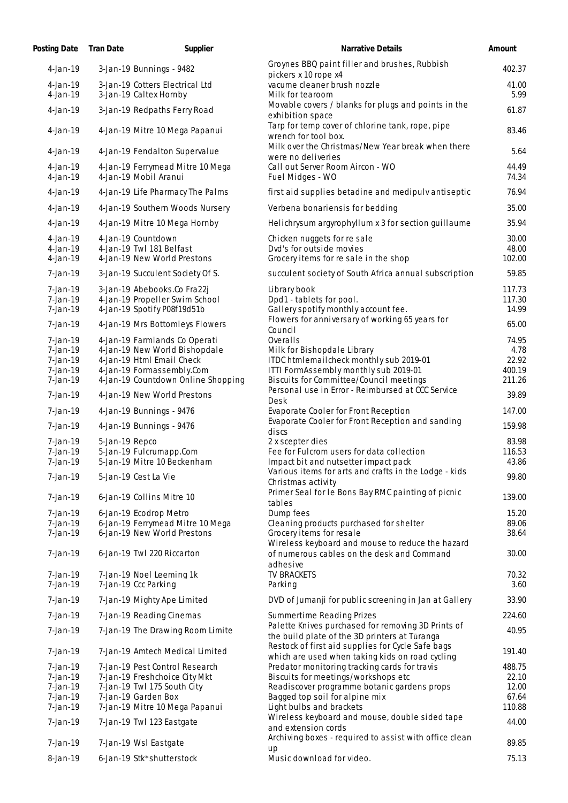| Posting Date                 | <b>Tran Date</b> | Supplier                                                       | Narrative Details                                                                                    | Amount          |
|------------------------------|------------------|----------------------------------------------------------------|------------------------------------------------------------------------------------------------------|-----------------|
| $4 - Jan - 19$               |                  | 3-Jan-19 Bunnings - 9482                                       | Groynes BBQ paint filler and brushes, Rubbish<br>pickers x 10 rope x4                                | 402.37          |
| $4 - Jan - 19$<br>4-Jan-19   |                  | 3-Jan-19 Cotters Electrical Ltd<br>3-Jan-19 Caltex Hornby      | vacume cleaner brush nozzle<br>Milk for tearoom                                                      | 41.00<br>5.99   |
| $4-Ja n-19$                  |                  | 3-Jan-19 Redpaths Ferry Road                                   | Movable covers / blanks for plugs and points in the<br>exhibition space                              | 61.87           |
| 4-Jan-19                     |                  | 4-Jan-19 Mitre 10 Mega Papanui                                 | Tarp for temp cover of chlorine tank, rope, pipe<br>wrench for tool box.                             | 83.46           |
| 4-Jan-19                     |                  | 4-Jan-19 Fendalton Supervalue                                  | Milk over the Christmas/New Year break when there<br>were no deliveries                              | 5.64            |
| $4 - 1a - 19$<br>$4-Ja n-19$ |                  | 4-Jan-19 Ferrymead Mitre 10 Mega<br>4-Jan-19 Mobil Aranui      | Call out Server Room Aircon - WO<br>Fuel Midges - WO                                                 | 44.49<br>74.34  |
| 4-Jan-19                     |                  | 4-Jan-19 Life Pharmacy The Palms                               | first aid supplies betadine and medipulv antiseptic                                                  | 76.94           |
| 4-Jan-19                     |                  | 4-Jan-19 Southern Woods Nursery                                | Verbena bonariensis for bedding                                                                      | 35.00           |
| $4-Ja n-19$                  |                  | 4-Jan-19 Mitre 10 Mega Hornby                                  | Helichrysum argyrophyllum x 3 for section guillaume                                                  | 35.94           |
| 4-Jan-19                     |                  | 4-Jan-19 Countdown                                             | Chicken nuggets for re sale                                                                          | 30.00           |
| $4-Ja n-19$                  |                  | 4-Jan-19 Twl 181 Belfast                                       | Dyd's for outside movies                                                                             | 48.00           |
| 4-Jan-19                     |                  | 4-Jan-19 New World Prestons                                    | Grocery items for re sale in the shop                                                                | 102.00          |
| 7-Jan-19                     |                  | 3-Jan-19 Succulent Society Of S.                               | succulent society of South Africa annual subscription                                                | 59.85           |
| $7-Ja n-19$                  |                  | 3-Jan-19 Abebooks.Co Fra22j                                    | Library book                                                                                         | 117.73          |
| 7-Jan-19                     |                  | 4-Jan-19 Propeller Swim School                                 | Dpd1 - tablets for pool.                                                                             | 117.30<br>14.99 |
| 7-Jan-19<br>7-Jan-19         |                  | 4-Jan-19 Spotify P08f19d51b<br>4-Jan-19 Mrs Bottomleys Flowers | Gallery spotify monthly account fee.<br>Flowers for anniversary of working 65 years for              | 65.00           |
| 7-Jan-19                     |                  | 4-Jan-19 Farmlands Co Operati                                  | Council<br>Overalls                                                                                  | 74.95           |
| 7-Jan-19                     |                  | 4-Jan-19 New World Bishopdale                                  | Milk for Bishopdale Library                                                                          | 4.78            |
| 7-Jan-19                     |                  | 4-Jan-19 Html Email Check                                      | ITDC htmlemailcheck monthly sub 2019-01                                                              | 22.92           |
| 7-Jan-19                     |                  | 4-Jan-19 Formassembly.Com                                      | ITTI FormAssembly monthly sub 2019-01                                                                | 400.19          |
| 7-Jan-19                     |                  | 4-Jan-19 Countdown Online Shopping                             | Biscuits for Committee/Council meetings                                                              | 211.26          |
| 7-Jan-19                     |                  | 4-Jan-19 New World Prestons                                    | Personal use in Error - Reimbursed at CCC Service<br>Desk                                            | 39.89           |
| 7-Jan-19                     |                  | 4-Jan-19 Bunnings - 9476                                       | Evaporate Cooler for Front Reception                                                                 | 147.00          |
| $7-Ja n-19$                  |                  | 4-Jan-19 Bunnings - 9476                                       | Evaporate Cooler for Front Reception and sanding<br>discs                                            | 159.98          |
| $7-Ja n-19$                  | 5-Jan-19 Repco   |                                                                | 2 x scepter dies                                                                                     | 83.98           |
| 7-Jan-19                     |                  | 5-Jan-19 Fulcrumapp.Com                                        | Fee for Fulcrom users for data collection                                                            | 116.53          |
| 7-Jan-19                     |                  | 5-Jan-19 Mitre 10 Beckenham                                    | Impact bit and nutsetter impact pack                                                                 | 43.86           |
| 7-Jan-19                     |                  | 5-Jan-19 Cest La Vie                                           | Various items for arts and crafts in the Lodge - kids<br>Christmas activity                          | 99.80           |
| 7-Jan-19                     |                  | 6-Jan-19 Collins Mitre 10                                      | Primer Seal for le Bons Bay RMC painting of picnic<br>tables                                         | 139.00          |
| 7-Jan-19                     |                  | 6-Jan-19 Ecodrop Metro                                         | Dump fees                                                                                            | 15.20           |
| 7-Jan-19                     |                  | 6-Jan-19 Ferrymead Mitre 10 Mega                               | Cleaning products purchased for shelter                                                              | 89.06           |
| 7-Jan-19                     |                  | 6-Jan-19 New World Prestons                                    | Grocery items for resale<br>Wireless keyboard and mouse to reduce the hazard                         | 38.64           |
| $7-Ja n-19$                  |                  | 6-Jan-19 Twl 220 Riccarton                                     | of numerous cables on the desk and Command<br>adhesive                                               | 30.00           |
| 7-Jan-19                     |                  | 7-Jan-19 Noel Leeming 1k                                       | <b>TV BRACKETS</b>                                                                                   | 70.32           |
| 7-Jan-19                     |                  | 7-Jan-19 Ccc Parking                                           | Parking                                                                                              | 3.60            |
| 7-Jan-19                     |                  | 7-Jan-19 Mighty Ape Limited                                    | DVD of Jumanji for public screening in Jan at Gallery                                                | 33.90           |
| 7-Jan-19                     |                  | 7-Jan-19 Reading Cinemas                                       | Summertime Reading Prizes                                                                            | 224.60          |
| 7-Jan-19                     |                  | 7-Jan-19 The Drawing Room Limite                               | Palette Knives purchased for removing 3D Prints of<br>the build plate of the 3D printers at Tūranga  | 40.95           |
| 7-Jan-19                     |                  | 7-Jan-19 Amtech Medical Limited                                | Restock of first aid supplies for Cycle Safe bags<br>which are used when taking kids on road cycling | 191.40          |
| 7-Jan-19                     |                  | 7-Jan-19 Pest Control Research                                 | Predator monitoring tracking cards for travis                                                        | 488.75          |
| 7-Jan-19                     |                  | 7-Jan-19 Freshchoice City Mkt                                  | Biscuits for meetings/workshops etc                                                                  | 22.10           |
| 7-Jan-19                     |                  | 7-Jan-19 Twl 175 South City                                    | Readiscover programme botanic gardens props                                                          | 12.00           |
| 7-Jan-19                     |                  | 7-Jan-19 Garden Box                                            | Bagged top soil for alpine mix                                                                       | 67.64           |
| 7-Jan-19                     |                  | 7-Jan-19 Mitre 10 Mega Papanui                                 | Light bulbs and brackets                                                                             | 110.88          |
| 7-Jan-19                     |                  | 7-Jan-19 Twl 123 Eastgate                                      | Wireless keyboard and mouse, double sided tape<br>and extension cords                                | 44.00           |
| 7-Jan-19                     |                  | 7-Jan-19 Wsl Eastgate                                          | Archiving boxes - required to assist with office clean<br>up                                         | 89.85           |
| 8-Jan-19                     |                  | 6-Jan-19 Stk*shutterstock                                      | Music download for video.                                                                            | 75.13           |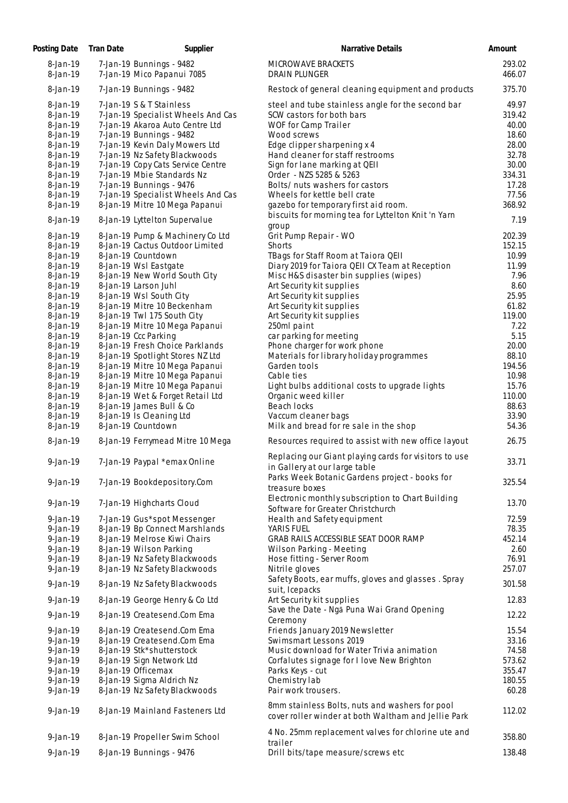| Posting Date                                 | Tran Date | Supplier                                                                                                                      | Narrative Details                                                                                                     | Amount                            |
|----------------------------------------------|-----------|-------------------------------------------------------------------------------------------------------------------------------|-----------------------------------------------------------------------------------------------------------------------|-----------------------------------|
| 8-Jan-19<br>8-Jan-19                         |           | 7-Jan-19 Bunnings - 9482<br>7-Jan-19 Mico Papanui 7085                                                                        | MICROWAVE BRACKETS<br><b>DRAIN PLUNGER</b>                                                                            | 293.02<br>466.07                  |
| 8-Jan-19                                     |           | 7-Jan-19 Bunnings - 9482                                                                                                      | Restock of general cleaning equipment and products                                                                    | 375.70                            |
| 8-Jan-19<br>8-Jan-19<br>8-Jan-19<br>8-Jan-19 |           | 7-Jan-19 S & T Stainless<br>7-Jan-19 Specialist Wheels And Cas<br>7-Jan-19 Akaroa Auto Centre Ltd<br>7-Jan-19 Bunnings - 9482 | steel and tube stainless angle for the second bar<br>SCW castors for both bars<br>WOF for Camp Trailer<br>Wood screws | 49.97<br>319.42<br>40.00<br>18.60 |
| 8-Jan-19<br>8-Jan-19<br>8-Jan-19             |           | 7-Jan-19 Kevin Daly Mowers Ltd<br>7-Jan-19 Nz Safety Blackwoods<br>7-Jan-19 Copy Cats Service Centre                          | Edge clipper sharpening x 4<br>Hand cleaner for staff restrooms<br>Sign for lane marking at QEII                      | 28.00<br>32.78<br>30.00           |
| 8-Jan-19<br>$8$ -Jan-19<br>8-Jan-19          |           | 7-Jan-19 Mbie Standards Nz<br>7-Jan-19 Bunnings - 9476<br>7-Jan-19 Specialist Wheels And Cas                                  | Order - NZS 5285 & 5263<br>Bolts/ nuts washers for castors<br>Wheels for kettle bell crate                            | 334.31<br>17.28<br>77.56          |
| 8-Jan-19<br>8-Jan-19                         |           | 8-Jan-19 Mitre 10 Mega Papanui<br>8-Jan-19 Lyttelton Supervalue                                                               | gazebo for temporary first aid room.<br>biscuits for morning tea for Lyttelton Knit 'n Yarn                           | 368.92<br>7.19                    |
| 8-Jan-19                                     |           | 8-Jan-19 Pump & Machinery Co Ltd                                                                                              | group<br>Grit Pump Repair - WO                                                                                        | 202.39                            |
| 8-Jan-19                                     |           | 8-Jan-19 Cactus Outdoor Limited                                                                                               | Shorts                                                                                                                | 152.15                            |
| 8-Jan-19                                     |           | 8-Jan-19 Countdown                                                                                                            | TBags for Staff Room at Taiora QEII                                                                                   | 10.99                             |
| 8-Jan-19                                     |           | 8-Jan-19 Wsl Eastgate                                                                                                         | Diary 2019 for Taiora QEII CX Team at Reception                                                                       | 11.99                             |
| 8-Jan-19                                     |           | 8-Jan-19 New World South City                                                                                                 | Misc H&S disaster bin supplies (wipes)                                                                                | 7.96                              |
| 8-Jan-19                                     |           | 8-Jan-19 Larson Juhl                                                                                                          | Art Security kit supplies                                                                                             | 8.60                              |
| 8-Jan-19                                     |           | 8-Jan-19 Wsl South City                                                                                                       | Art Security kit supplies                                                                                             | 25.95                             |
| 8-Jan-19<br>8-Jan-19                         |           | 8-Jan-19 Mitre 10 Beckenham<br>8-Jan-19 Twl 175 South City                                                                    | Art Security kit supplies<br>Art Security kit supplies                                                                | 61.82<br>119.00                   |
| 8-Jan-19                                     |           | 8-Jan-19 Mitre 10 Mega Papanui                                                                                                | 250ml paint                                                                                                           | 7.22                              |
| 8-Jan-19                                     |           | 8-Jan-19 Ccc Parking                                                                                                          | car parking for meeting                                                                                               | 5.15                              |
| 8-Jan-19                                     |           | 8-Jan-19 Fresh Choice Parklands                                                                                               | Phone charger for work phone                                                                                          | 20.00                             |
| 8-Jan-19                                     |           | 8-Jan-19 Spotlight Stores NZ Ltd                                                                                              | Materials for library holiday programmes                                                                              | 88.10                             |
| 8-Jan-19                                     |           | 8-Jan-19 Mitre 10 Mega Papanui                                                                                                | Garden tools                                                                                                          | 194.56                            |
| 8-Jan-19                                     |           | 8-Jan-19 Mitre 10 Mega Papanui                                                                                                | Cable ties                                                                                                            | 10.98                             |
| 8-Jan-19                                     |           | 8-Jan-19 Mitre 10 Mega Papanui                                                                                                | Light bulbs additional costs to upgrade lights                                                                        | 15.76                             |
| 8-Jan-19                                     |           | 8-Jan-19 Wet & Forget Retail Ltd                                                                                              | Organic weed killer                                                                                                   | 110.00                            |
| 8-Jan-19                                     |           | 8-Jan-19 James Bull & Co                                                                                                      | Beach locks                                                                                                           | 88.63                             |
| 8-Jan-19<br>8-Jan-19                         |           | 8-Jan-19 Is Cleaning Ltd<br>8-Jan-19 Countdown                                                                                | Vaccum cleaner bags<br>Milk and bread for re sale in the shop                                                         | 33.90<br>54.36                    |
| 8-Jan-19                                     |           | 8-Jan-19 Ferrymead Mitre 10 Mega                                                                                              | Resources required to assist with new office layout                                                                   | 26.75                             |
| 9-Jan-19                                     |           | 7-Jan-19 Paypal *emax Online                                                                                                  | Replacing our Giant playing cards for visitors to use<br>in Gallery at our large table                                | 33.71                             |
| $9$ -Jan-19                                  |           | 7-Jan-19 Bookdepository.Com                                                                                                   | Parks Week Botanic Gardens project - books for<br>treasure boxes<br>Electronic monthly subscription to Chart Building | 325.54                            |
| 9-Jan-19<br>$9$ -Jan-19                      |           | 7-Jan-19 Highcharts Cloud<br>7-Jan-19 Gus*spot Messenger                                                                      | Software for Greater Christchurch<br>Health and Safety equipment                                                      | 13.70<br>72.59                    |
| $9$ -Jan-19                                  |           | 8-Jan-19 Bp Connect Marshlands                                                                                                | YARIS FUEL                                                                                                            | 78.35                             |
| $9$ -Jan-19                                  |           | 8-Jan-19 Melrose Kiwi Chairs                                                                                                  | GRAB RAILS ACCESSIBLE SEAT DOOR RAMP                                                                                  | 452.14                            |
| $9$ -Jan-19                                  |           | 8-Jan-19 Wilson Parking                                                                                                       | Wilson Parking - Meeting                                                                                              | 2.60                              |
| $9$ -Jan-19                                  |           | 8-Jan-19 Nz Safety Blackwoods                                                                                                 | Hose fitting - Server Room                                                                                            | 76.91                             |
| $9$ -Jan-19<br>$9$ -Jan-19                   |           | 8-Jan-19 Nz Safety Blackwoods<br>8-Jan-19 Nz Safety Blackwoods                                                                | Nitrile gloves<br>Safety Boots, ear muffs, gloves and glasses. Spray                                                  | 257.07<br>301.58                  |
| $9$ -Jan-19                                  |           | 8-Jan-19 George Henry & Co Ltd                                                                                                | suit, Icepacks<br>Art Security kit supplies                                                                           | 12.83                             |
| 9-Jan-19                                     |           | 8-Jan-19 Createsend.Com Ema                                                                                                   | Save the Date - Ngā Puna Wai Grand Opening<br>Ceremony                                                                | 12.22                             |
| $9$ -Jan-19                                  |           | 8-Jan-19 Createsend.Com Ema                                                                                                   | Friends January 2019 Newsletter                                                                                       | 15.54                             |
| $9$ -Jan-19                                  |           | 8-Jan-19 Createsend.Com Ema                                                                                                   | Swimsmart Lessons 2019                                                                                                | 33.16                             |
| $9$ -Jan-19                                  |           | 8-Jan-19 Stk*shutterstock                                                                                                     | Music download for Water Trivia animation                                                                             | 74.58                             |
| $9$ -Jan-19                                  |           | 8-Jan-19 Sign Network Ltd                                                                                                     | Corfalutes signage for I love New Brighton                                                                            | 573.62                            |
| $9$ -Jan-19                                  |           | 8-Jan-19 Officemax                                                                                                            | Parks Keys - cut                                                                                                      | 355.47                            |
| $9-Jan-19$                                   |           | 8-Jan-19 Sigma Aldrich Nz                                                                                                     | Chemistry lab                                                                                                         | 180.55                            |
| $9$ -Jan-19                                  |           | 8-Jan-19 Nz Safety Blackwoods                                                                                                 | Pair work trousers.                                                                                                   | 60.28                             |
| $9-Jan-19$                                   |           | 8-Jan-19 Mainland Fasteners Ltd                                                                                               | 8mm stainless Bolts, nuts and washers for pool<br>cover roller winder at both Waltham and Jellie Park                 | 112.02                            |
| $9$ -Jan-19                                  |           | 8-Jan-19 Propeller Swim School                                                                                                | 4 No. 25mm replacement valves for chlorine ute and<br>trailer                                                         | 358.80                            |
| $9$ -Jan-19                                  |           | 8-Jan-19 Bunnings - 9476                                                                                                      | Drill bits/tape measure/screws etc                                                                                    | 138.48                            |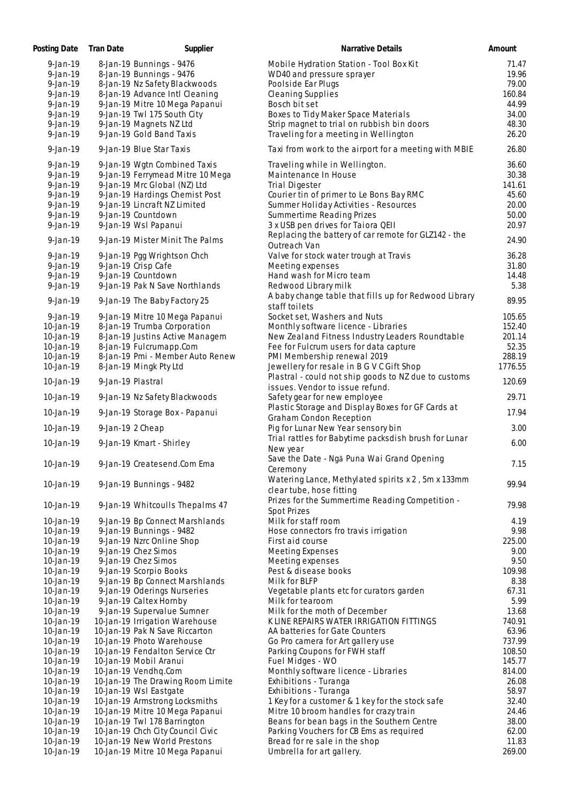| Posting Date   | Tran Date         | Supplier                          | Narrative Details                                                                       | Amount  |
|----------------|-------------------|-----------------------------------|-----------------------------------------------------------------------------------------|---------|
| $9 - Jan - 19$ |                   | 8-Jan-19 Bunnings - 9476          | Mobile Hydration Station - Tool Box Kit                                                 | 71.47   |
| $9$ -Jan-19    |                   | 8-Jan-19 Bunnings - 9476          | WD40 and pressure sprayer                                                               | 19.96   |
| $9$ -Jan-19    |                   | 8-Jan-19 Nz Safety Blackwoods     | Poolside Ear Plugs                                                                      | 79.00   |
| $9 - Jan - 19$ |                   | 8-Jan-19 Advance Intl Cleaning    | <b>Cleaning Supplies</b>                                                                | 160.84  |
| 9-Jan-19       |                   | 9-Jan-19 Mitre 10 Mega Papanui    | Bosch bit set                                                                           | 44.99   |
| 9-Jan-19       |                   | 9-Jan-19 Twl 175 South City       | Boxes to Tidy Maker Space Materials                                                     | 34.00   |
| $9$ -Jan-19    |                   | 9-Jan-19 Magnets NZ Ltd           | Strip magnet to trial on rubbish bin doors                                              | 48.30   |
| $9$ -Jan-19    |                   | 9-Jan-19 Gold Band Taxis          | Traveling for a meeting in Wellington                                                   | 26.20   |
| $9$ -Jan-19    |                   | 9-Jan-19 Blue Star Taxis          | Taxi from work to the airport for a meeting with MBIE                                   | 26.80   |
| $9$ -Jan-19    |                   | 9-Jan-19 Wgtn Combined Taxis      | Traveling while in Wellington.                                                          | 36.60   |
| $9$ -Jan-19    |                   | 9-Jan-19 Ferrymead Mitre 10 Mega  | Maintenance In House                                                                    | 30.38   |
| $9 - Jan - 19$ |                   | 9-Jan-19 Mrc Global (NZ) Ltd      | <b>Trial Digester</b>                                                                   | 141.61  |
| 9-Jan-19       |                   | 9-Jan-19 Hardings Chemist Post    | Courier tin of primer to Le Bons Bay RMC                                                | 45.60   |
| 9-Jan-19       |                   | 9-Jan-19 Lincraft NZ Limited      | Summer Holiday Activities - Resources                                                   | 20.00   |
| $9$ -Jan-19    |                   | 9-Jan-19 Countdown                | Summertime Reading Prizes                                                               | 50.00   |
| $9$ -Jan-19    |                   | 9-Jan-19 Wsl Papanui              | 3 x USB pen drives for Taiora QEII                                                      | 20.97   |
| $9$ -Jan-19    |                   | 9-Jan-19 Mister Minit The Palms   | Replacing the battery of car remote for GLZ142 - the<br>Outreach Van                    | 24.90   |
| $9$ -Jan-19    |                   | 9-Jan-19 Pgg Wrightson Chch       | Valve for stock water trough at Travis                                                  | 36.28   |
| $9$ -Jan-19    |                   | 9-Jan-19 Crisp Cafe               | Meeting expenses                                                                        | 31.80   |
| $9$ -Jan-19    |                   | 9-Jan-19 Countdown                | Hand wash for Micro team                                                                | 14.48   |
| $9$ -Jan-19    |                   | 9-Jan-19 Pak N Save Northlands    | Redwood Library milk                                                                    | 5.38    |
|                |                   |                                   | A baby change table that fills up for Redwood Library                                   |         |
| $9$ -Jan-19    |                   | 9-Jan-19 The Baby Factory 25      | staff toilets                                                                           | 89.95   |
| $9$ -Jan-19    |                   | 9-Jan-19 Mitre 10 Mega Papanui    | Socket set, Washers and Nuts                                                            | 105.65  |
| 10-Jan-19      |                   | 8-Jan-19 Trumba Corporation       | Monthly software licence - Libraries                                                    | 152.40  |
| 10-Jan-19      |                   | 8-Jan-19 Justins Active Managem   | New Zealand Fitness Industry Leaders Roundtable                                         | 201.14  |
| 10-Jan-19      |                   | 8-Jan-19 Fulcrumapp.Com           | Fee for Fulcrum users for data capture                                                  | 52.35   |
| 10-Jan-19      |                   | 8-Jan-19 Pmi - Member Auto Renew  | PMI Membership renewal 2019                                                             | 288.19  |
| 10-Jan-19      |                   | 8-Jan-19 Mingk Pty Ltd            | Jewellery for resale in B G V C Gift Shop                                               | 1776.55 |
| 10-Jan-19      | 9-Jan-19 Plastral |                                   | Plastral - could not ship goods to NZ due to customs<br>issues. Vendor to issue refund. | 120.69  |
| 10-Jan-19      |                   | 9-Jan-19 Nz Safety Blackwoods     | Safety gear for new employee                                                            | 29.71   |
| 10-Jan-19      |                   | 9-Jan-19 Storage Box - Papanui    | Plastic Storage and Display Boxes for GF Cards at<br>Graham Condon Reception            | 17.94   |
| 10-Jan-19      | 9-Jan-19 2 Cheap  |                                   | Pig for Lunar New Year sensory bin                                                      | 3.00    |
| 10-Jan-19      |                   | 9-Jan-19 Kmart - Shirley          | Trial rattles for Babytime packsdish brush for Lunar<br>New year                        | 6.00    |
|                |                   |                                   | Save the Date - Ngā Puna Wai Grand Opening                                              |         |
| 10-Jan-19      |                   | 9-Jan-19 Createsend.Com Ema       | Ceremony                                                                                | 7.15    |
| 10-Jan-19      |                   | 9-Jan-19 Bunnings - 9482          | Watering Lance, Methylated spirits x 2, 5m x 133mm                                      | 99.94   |
|                |                   |                                   | clear tube, hose fitting                                                                |         |
| 10-Jan-19      |                   | 9-Jan-19 Whitcoulls Thepalms 47   | Prizes for the Summertime Reading Competition -<br>Spot Prizes                          | 79.98   |
| 10-Jan-19      |                   | 9-Jan-19 Bp Connect Marshlands    | Milk for staff room                                                                     | 4.19    |
| 10-Jan-19      |                   | 9-Jan-19 Bunnings - 9482          | Hose connectors fro travis irrigation                                                   | 9.98    |
| 10-Jan-19      |                   | 9-Jan-19 Nzrc Online Shop         | First aid course                                                                        | 225.00  |
| 10-Jan-19      |                   | 9-Jan-19 Chez Simos               | Meeting Expenses                                                                        | 9.00    |
| 10-Jan-19      |                   | 9-Jan-19 Chez Simos               | Meeting expenses                                                                        | 9.50    |
| 10-Jan-19      |                   | 9-Jan-19 Scorpio Books            | Pest & disease books                                                                    | 109.98  |
| 10-Jan-19      |                   | 9-Jan-19 Bp Connect Marshlands    | Milk for BLFP                                                                           | 8.38    |
| 10-Jan-19      |                   | 9-Jan-19 Oderings Nurseries       | Vegetable plants etc for curators garden                                                | 67.31   |
| 10-Jan-19      |                   | 9-Jan-19 Caltex Hornby            | Milk for tearoom                                                                        | 5.99    |
| 10-Jan-19      |                   | 9-Jan-19 Supervalue Sumner        | Milk for the moth of December                                                           | 13.68   |
| 10-Jan-19      |                   | 10-Jan-19 Irrigation Warehouse    | K LINE REPAIRS WATER IRRIGATION FITTINGS                                                | 740.91  |
| 10-Jan-19      |                   | 10-Jan-19 Pak N Save Riccarton    | AA batteries for Gate Counters                                                          | 63.96   |
| 10-Jan-19      |                   | 10-Jan-19 Photo Warehouse         | Go Pro camera for Art gallery use                                                       | 737.99  |
| 10-Jan-19      |                   | 10-Jan-19 Fendalton Service Ctr   | Parking Coupons for FWH staff                                                           | 108.50  |
| 10-Jan-19      |                   | 10-Jan-19 Mobil Aranui            | Fuel Midges - WO                                                                        | 145.77  |
| 10-Jan-19      |                   | 10-Jan-19 Vendhq.Com              | Monthly software licence - Libraries                                                    | 814.00  |
| 10-Jan-19      |                   | 10-Jan-19 The Drawing Room Limite | Exhibitions - Turanga                                                                   | 26.08   |
| 10-Jan-19      |                   | 10-Jan-19 Wsl Eastgate            | Exhibitions - Turanga                                                                   | 58.97   |
| 10-Jan-19      |                   | 10-Jan-19 Armstrong Locksmiths    | 1 Key for a customer & 1 key for the stock safe                                         | 32.40   |
| 10-Jan-19      |                   | 10-Jan-19 Mitre 10 Mega Papanui   | Mitre 10 broom handles for crazy train                                                  | 24.46   |
| 10-Jan-19      |                   | 10-Jan-19 Twl 178 Barrington      | Beans for bean bags in the Southern Centre                                              | 38.00   |
| 10-Jan-19      |                   | 10-Jan-19 Chch City Council Civic | Parking Vouchers for CB Ems as required                                                 | 62.00   |
| 10-Jan-19      |                   | 10-Jan-19 New World Prestons      | Bread for re sale in the shop                                                           | 11.83   |
| 10-Jan-19      |                   | 10-Jan-19 Mitre 10 Mega Papanui   | Umbrella for art gallery.                                                               | 269.00  |
|                |                   |                                   |                                                                                         |         |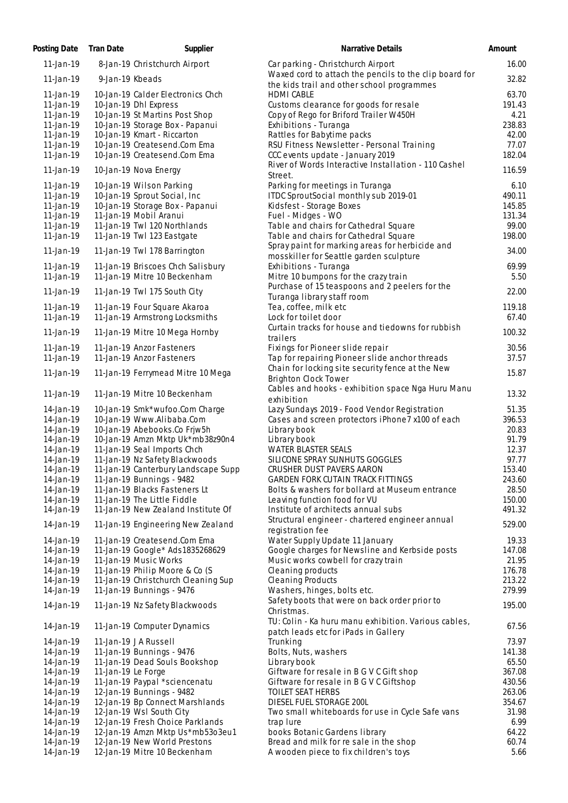| Posting Date    | Tran Date          | Supplier                                          | Narrative Details                                               | Amount          |
|-----------------|--------------------|---------------------------------------------------|-----------------------------------------------------------------|-----------------|
| $11 - Jan - 19$ |                    | 8-Jan-19 Christchurch Airport                     | Car parking - Christchurch Airport                              | 16.00           |
| $11 - Jan - 19$ | 9-Jan-19 Kbeads    |                                                   | Waxed cord to attach the pencils to the clip board for          | 32.82           |
|                 |                    |                                                   | the kids trail and other school programmes                      |                 |
| 11-Jan-19       |                    | 10-Jan-19 Calder Electronics Chch                 | <b>HDMI CABLE</b>                                               | 63.70           |
| 11-Jan-19       |                    | 10-Jan-19 Dhl Express                             | Customs clearance for goods for resale                          | 191.43          |
| $11$ -Jan-19    |                    | 10-Jan-19 St Martins Post Shop                    | Copy of Rego for Briford Trailer W450H                          | 4.21            |
| $11$ -Jan-19    |                    | 10-Jan-19 Storage Box - Papanui                   | Exhibitions - Turanga                                           | 238.83          |
| $11-Ja n-19$    |                    | 10-Jan-19 Kmart - Riccarton                       | Rattles for Babytime packs                                      | 42.00           |
| $11$ -Jan-19    |                    | 10-Jan-19 Createsend.Com Ema                      | RSU Fitness Newsletter - Personal Training                      | 77.07           |
| $11 - Jan - 19$ |                    | 10-Jan-19 Createsend.Com Ema                      | CCC events update - January 2019                                | 182.04          |
| 11-Jan-19       |                    | 10-Jan-19 Nova Energy                             | River of Words Interactive Installation - 110 Cashel<br>Street. | 116.59          |
| $11$ -Jan-19    |                    | 10-Jan-19 Wilson Parking                          | Parking for meetings in Turanga                                 | 6.10            |
| $11$ -Jan-19    |                    | 10-Jan-19 Sprout Social, Inc                      | ITDC SproutSocial monthly sub 2019-01                           | 490.11          |
| 11-Jan-19       |                    | 10-Jan-19 Storage Box - Papanui                   | Kidsfest - Storage Boxes                                        | 145.85          |
| 11-Jan-19       |                    | 11-Jan-19 Mobil Aranui                            | Fuel - Midges - WO                                              | 131.34          |
| $11$ -Jan-19    |                    | 11-Jan-19 Twl 120 Northlands                      | Table and chairs for Cathedral Square                           | 99.00           |
| $11-Ja n-19$    |                    | 11-Jan-19 Twl 123 Eastgate                        | Table and chairs for Cathedral Square                           | 198.00          |
|                 |                    |                                                   | Spray paint for marking areas for herbicide and                 |                 |
| 11-Jan-19       |                    | 11-Jan-19 Twl 178 Barrington                      | mosskiller for Seattle garden sculpture                         | 34.00           |
| $11 - Jan - 19$ |                    | 11-Jan-19 Briscoes Chch Salisbury                 | Exhibitions - Turanga                                           | 69.99           |
| 11-Jan-19       |                    | 11-Jan-19 Mitre 10 Beckenham                      | Mitre 10 bumpons for the crazy train                            | 5.50            |
|                 |                    |                                                   | Purchase of 15 teaspoons and 2 peelers for the                  |                 |
| 11-Jan-19       |                    | 11-Jan-19 Twl 175 South City                      | Turanga library staff room                                      | 22.00           |
| 11-Jan-19       |                    | 11-Jan-19 Four Square Akaroa                      | Tea, coffee, milk etc                                           | 119.18          |
| 11-Jan-19       |                    | 11-Jan-19 Armstrong Locksmiths                    | Lock for toilet door                                            | 67.40           |
|                 |                    |                                                   | Curtain tracks for house and tiedowns for rubbish               |                 |
| 11-Jan-19       |                    | 11-Jan-19 Mitre 10 Mega Hornby                    | trailers                                                        | 100.32          |
| $11 - Jan - 19$ |                    | 11-Jan-19 Anzor Fasteners                         | Fixings for Pioneer slide repair                                | 30.56           |
| 11-Jan-19       |                    | 11-Jan-19 Anzor Fasteners                         | Tap for repairing Pioneer slide anchor threads                  | 37.57           |
|                 |                    |                                                   | Chain for locking site security fence at the New                |                 |
| 11-Jan-19       |                    | 11-Jan-19 Ferrymead Mitre 10 Mega                 | <b>Brighton Clock Tower</b>                                     | 15.87           |
|                 |                    |                                                   | Cables and hooks - exhibition space Nga Huru Manu               |                 |
| 11-Jan-19       |                    | 11-Jan-19 Mitre 10 Beckenham                      | exhibition                                                      | 13.32           |
| 14-Jan-19       |                    | 10-Jan-19 Smk*wufoo.Com Charge                    | Lazy Sundays 2019 - Food Vendor Registration                    | 51.35           |
| 14-Jan-19       |                    | 10-Jan-19 Www.Alibaba.Com                         | Cases and screen protectors iPhone7 x100 of each                | 396.53          |
| 14-Jan-19       |                    | 10-Jan-19 Abebooks.Co Frjw5h                      | Library book                                                    | 20.83           |
| 14-Jan-19       |                    | 10-Jan-19 Amzn Mktp Uk*mb38z90n4                  | Library book                                                    | 91.79           |
| 14-Jan-19       |                    | 11-Jan-19 Seal Imports Chch                       | <b>WATER BLASTER SEALS</b>                                      | 12.37           |
| 14-Jan-19       |                    | 11-Jan-19 Nz Safety Blackwoods                    | SILICONE SPRAY SUNHUTS GOGGLES                                  | 97.77           |
| 14-Jan-19       |                    | 11-Jan-19 Canterbury Landscape Supp               | CRUSHER DUST PAVERS AARON                                       | 153.40          |
| 14-Jan-19       |                    | 11-Jan-19 Bunnings - 9482                         | <b>GARDEN FORK CUTAIN TRACK FITTINGS</b>                        | 243.60          |
| 14-Jan-19       |                    | 11-Jan-19 Blacks Fasteners Lt                     | Bolts & washers for bollard at Museum entrance                  | 28.50           |
| 14-Jan-19       |                    | 11-Jan-19 The Little Fiddle                       | Leaving function food for VU                                    | 150.00          |
| 14-Jan-19       |                    | 11-Jan-19 New Zealand Institute Of                | Institute of architects annual subs                             | 491.32          |
|                 |                    |                                                   | Structural engineer - chartered engineer annual                 |                 |
| 14-Jan-19       |                    | 11-Jan-19 Engineering New Zealand                 | registration fee                                                | 529.00          |
| 14-Jan-19       |                    | 11-Jan-19 Createsend.Com Ema                      | Water Supply Update 11 January                                  | 19.33           |
| 14-Jan-19       |                    | 11-Jan-19 Google* Ads 1835268629                  | Google charges for Newsline and Kerbside posts                  | 147.08          |
| 14-Jan-19       |                    | 11-Jan-19 Music Works                             | Music works cowbell for crazy train                             | 21.95           |
| 14-Jan-19       |                    | 11-Jan-19 Philip Moore & Co (S                    | Cleaning products                                               | 176.78          |
| 14-Jan-19       |                    | 11-Jan-19 Christchurch Cleaning Sup               | <b>Cleaning Products</b>                                        | 213.22          |
| 14-Jan-19       |                    | 11-Jan-19 Bunnings - 9476                         | Washers, hinges, bolts etc.                                     | 279.99          |
|                 |                    |                                                   | Safety boots that were on back order prior to                   |                 |
| 14-Jan-19       |                    | 11-Jan-19 Nz Safety Blackwoods                    | Christmas.                                                      | 195.00          |
|                 |                    |                                                   | TU: Colin - Ka huru manu exhibition. Various cables,            |                 |
| 14-Jan-19       |                    | 11-Jan-19 Computer Dynamics                       | patch leads etc for iPads in Gallery                            | 67.56           |
|                 |                    |                                                   | Trunking                                                        |                 |
| 14-Jan-19       |                    | 11-Jan-19 JA Russell<br>11-Jan-19 Bunnings - 9476 |                                                                 | 73.97<br>141.38 |
| 14-Jan-19       |                    |                                                   | Bolts, Nuts, washers                                            |                 |
| 14-Jan-19       |                    | 11-Jan-19 Dead Souls Bookshop                     | Library book                                                    | 65.50           |
| 14-Jan-19       | 11-Jan-19 Le Forge |                                                   | Giftware for resale in B G V C Gift shop                        | 367.08          |
| 14-Jan-19       |                    | 11-Jan-19 Paypal *sciencenatu                     | Giftware for resale in B G V C Giftshop                         | 430.56          |
| 14-Jan-19       |                    | 12-Jan-19 Bunnings - 9482                         | <b>TOILET SEAT HERBS</b>                                        | 263.06          |
| 14-Jan-19       |                    | 12-Jan-19 Bp Connect Marshlands                   | DIESEL FUEL STORAGE 200L                                        | 354.67          |
| 14-Jan-19       |                    | 12-Jan-19 Wsl South City                          | Two small whiteboards for use in Cycle Safe vans                | 31.98           |
| 14-Jan-19       |                    | 12-Jan-19 Fresh Choice Parklands                  | trap lure                                                       | 6.99            |
| 14-Jan-19       |                    | 12-Jan-19 Amzn Mktp Us*mb53o3eu1                  | books Botanic Gardens library                                   | 64.22           |
| 14-Jan-19       |                    | 12-Jan-19 New World Prestons                      | Bread and milk for re sale in the shop                          | 60.74           |
| 14-Jan-19       |                    | 12-Jan-19 Mitre 10 Beckenham                      | A wooden piece to fix children's toys                           | 5.66            |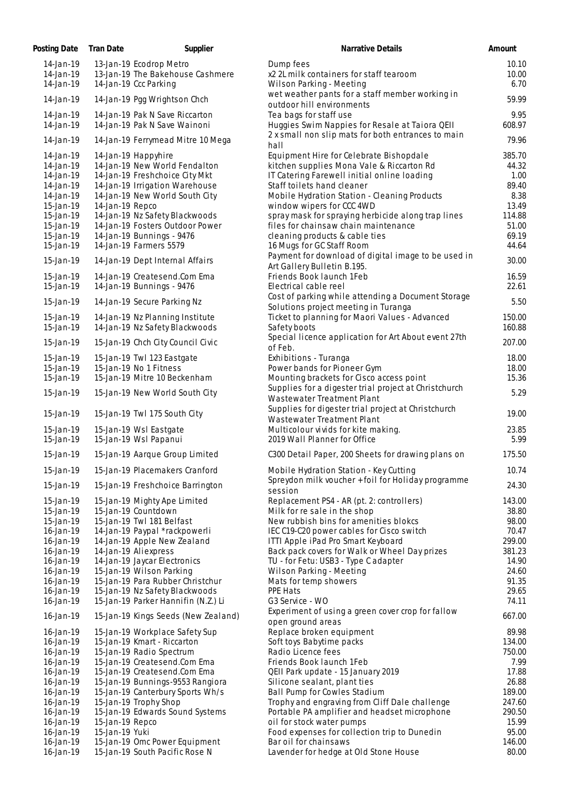| Posting Date           | Tran Date       | Supplier                            | Narrative Details                                                         | Amount        |
|------------------------|-----------------|-------------------------------------|---------------------------------------------------------------------------|---------------|
| 14-Jan-19              |                 | 13-Jan-19 Ecodrop Metro             | Dump fees                                                                 | 10.10         |
| 14-Jan-19              |                 | 13-Jan-19 The Bakehouse Cashmere    | x2 2L milk containers for staff tearoom                                   | 10.00         |
| 14-Jan-19              |                 | 14-Jan-19 Ccc Parking               | Wilson Parking - Meeting                                                  | 6.70          |
| 14-Jan-19              |                 | 14-Jan-19 Pgg Wrightson Chch        | wet weather pants for a staff member working in                           | 59.99         |
|                        |                 |                                     | outdoor hill environments                                                 |               |
| 14-Jan-19              |                 | 14-Jan-19 Pak N Save Riccarton      | Tea bags for staff use                                                    | 9.95          |
| 14-Jan-19              |                 | 14-Jan-19 Pak N Save Wainoni        | Huggies Swim Nappies for Resale at Taiora QEII                            | 608.97        |
| 14-Jan-19              |                 | 14-Jan-19 Ferrymead Mitre 10 Mega   | 2 x small non slip mats for both entrances to main                        | 79.96         |
|                        |                 |                                     | hall                                                                      |               |
| 14-Jan-19              |                 | 14-Jan-19 Happyhire                 | Equipment Hire for Celebrate Bishopdale                                   | 385.70        |
| 14-Jan-19              |                 | 14-Jan-19 New World Fendalton       | kitchen supplies Mona Vale & Riccarton Rd                                 | 44.32         |
| 14-Jan-19              |                 | 14-Jan-19 Freshchoice City Mkt      | IT Catering Farewell initial online loading                               | 1.00          |
| 14-Jan-19              |                 | 14-Jan-19 Irrigation Warehouse      | Staff toilets hand cleaner                                                | 89.40         |
| 14-Jan-19              |                 | 14-Jan-19 New World South City      | Mobile Hydration Station - Cleaning Products<br>window wipers for CCC 4WD | 8.38<br>13.49 |
| 15-Jan-19<br>15-Jan-19 | 14-Jan-19 Repco | 14-Jan-19 Nz Safety Blackwoods      | spray mask for spraying herbicide along trap lines                        | 114.88        |
| 15-Jan-19              |                 | 14-Jan-19 Fosters Outdoor Power     | files for chainsaw chain maintenance                                      | 51.00         |
| 15-Jan-19              |                 | 14-Jan-19 Bunnings - 9476           | cleaning products & cable ties                                            | 69.19         |
| 15-Jan-19              |                 | 14-Jan-19 Farmers 5579              | 16 Mugs for GC Staff Room                                                 | 44.64         |
|                        |                 |                                     | Payment for download of digital image to be used in                       |               |
| 15-Jan-19              |                 | 14-Jan-19 Dept Internal Affairs     | Art Gallery Bulletin B.195.                                               | 30.00         |
| 15-Jan-19              |                 | 14-Jan-19 Createsend.Com Ema        | Friends Book launch 1Feb                                                  | 16.59         |
| 15-Jan-19              |                 | 14-Jan-19 Bunnings - 9476           | Electrical cable reel                                                     | 22.61         |
|                        |                 |                                     | Cost of parking while attending a Document Storage                        |               |
| 15-Jan-19              |                 | 14-Jan-19 Secure Parking Nz         | Solutions project meeting in Turanga                                      | 5.50          |
| 15-Jan-19              |                 | 14-Jan-19 Nz Planning Institute     | Ticket to planning for Maori Values - Advanced                            | 150.00        |
| 15-Jan-19              |                 | 14-Jan-19 Nz Safety Blackwoods      | Safety boots                                                              | 160.88        |
|                        |                 |                                     | Special licence application for Art About event 27th                      |               |
| 15-Jan-19              |                 | 15-Jan-19 Chch City Council Civic   | of Feb.                                                                   | 207.00        |
| 15-Jan-19              |                 | 15-Jan-19 Twl 123 Eastgate          | Exhibitions - Turanga                                                     | 18.00         |
| 15-Jan-19              |                 | 15-Jan-19 No 1 Fitness              | Power bands for Pioneer Gym                                               | 18.00         |
| 15-Jan-19              |                 | 15-Jan-19 Mitre 10 Beckenham        | Mounting brackets for Cisco access point                                  | 15.36         |
|                        |                 |                                     | Supplies for a digester trial project at Christchurch                     |               |
| 15-Jan-19              |                 | 15-Jan-19 New World South City      | Wastewater Treatment Plant                                                | 5.29          |
| 15-Jan-19              |                 |                                     | Supplies for digester trial project at Christchurch                       |               |
|                        |                 | 15-Jan-19 Twl 175 South City        | Wastewater Treatment Plant                                                | 19.00         |
| 15-Jan-19              |                 | 15-Jan-19 Wsl Eastgate              | Multicolour vivids for kite making.                                       | 23.85         |
| 15-Jan-19              |                 | 15-Jan-19 Wsl Papanui               | 2019 Wall Planner for Office                                              | 5.99          |
| 15-Jan-19              |                 | 15-Jan-19 Aarque Group Limited      | C300 Detail Paper, 200 Sheets for drawing plans on                        | 175.50        |
|                        |                 |                                     |                                                                           |               |
| 15-Jan-19              |                 | 15-Jan-19 Placemakers Cranford      | Mobile Hydration Station - Key Cutting                                    | 10.74         |
| 15-Jan-19              |                 | 15-Jan-19 Freshchoice Barrington    | Spreydon milk voucher + foil for Holiday programme                        | 24.30         |
|                        |                 |                                     | session                                                                   |               |
| 15-Jan-19              |                 | 15-Jan-19 Mighty Ape Limited        | Replacement PS4 - AR (pt. 2: controllers)                                 | 143.00        |
| 15-Jan-19              |                 | 15-Jan-19 Countdown                 | Milk for re sale in the shop                                              | 38.80         |
| 15-Jan-19              |                 | 15-Jan-19 Twl 181 Belfast           | New rubbish bins for amenities blokcs                                     | 98.00         |
| 16-Jan-19              |                 | 14-Jan-19 Paypal *rackpowerli       | IEC C19-C20 power cables for Cisco switch                                 | 70.47         |
| 16-Jan-19              |                 | 14-Jan-19 Apple New Zealand         | ITTI Apple iPad Pro Smart Keyboard                                        | 299.00        |
| 16-Jan-19              |                 | 14-Jan-19 Aliexpress                | Back pack covers for Walk or Wheel Day prizes                             | 381.23        |
| 16-Jan-19              |                 | 14-Jan-19 Jaycar Electronics        | TU - for Fetu: USB3 - Type Cadapter                                       | 14.90         |
| 16-Jan-19              |                 | 15-Jan-19 Wilson Parking            | Wilson Parking - Meeting                                                  | 24.60         |
| 16-Jan-19              |                 | 15-Jan-19 Para Rubber Christchur    | Mats for temp showers                                                     | 91.35         |
| 16-Jan-19              |                 | 15-Jan-19 Nz Safety Blackwoods      | PPE Hats                                                                  | 29.65         |
| 16-Jan-19              |                 | 15-Jan-19 Parker Hannifin (N.Z.) Li | G3 Service - WO                                                           | 74.11         |
|                        |                 |                                     | Experiment of using a green cover crop for fallow                         |               |
| 16-Jan-19              |                 | 15-Jan-19 Kings Seeds (New Zealand) | open ground areas                                                         | 667.00        |
| 16-Jan-19              |                 | 15-Jan-19 Workplace Safety Sup      | Replace broken equipment                                                  | 89.98         |
| 16-Jan-19              |                 | 15-Jan-19 Kmart - Riccarton         | Soft toys Babytime packs                                                  | 134.00        |
| 16-Jan-19              |                 | 15-Jan-19 Radio Spectrum            | Radio Licence fees                                                        | 750.00        |
| 16-Jan-19              |                 | 15-Jan-19 Createsend.Com Ema        | Friends Book launch 1Feb                                                  | 7.99          |
| 16-Jan-19              |                 | 15-Jan-19 Createsend.Com Ema        | QEII Park update - 15 January 2019                                        | 17.88         |
| 16-Jan-19              |                 | 15-Jan-19 Bunnings-9553 Rangiora    | Silicone sealant, plant ties                                              | 26.88         |
| 16-Jan-19              |                 | 15-Jan-19 Canterbury Sports Wh/s    | <b>Ball Pump for Cowles Stadium</b>                                       | 189.00        |
| 16-Jan-19              |                 | 15-Jan-19 Trophy Shop               | Trophy and engraving from Cliff Dale challenge                            | 247.60        |
| 16-Jan-19              |                 | 15-Jan-19 Edwards Sound Systems     | Portable PA amplifier and headset microphone                              | 290.50        |
| 16-Jan-19              | 15-Jan-19 Repco |                                     | oil for stock water pumps                                                 | 15.99         |
| 16-Jan-19              | 15-Jan-19 Yuki  |                                     | Food expenses for collection trip to Dunedin                              | 95.00         |
| 16-Jan-19              |                 | 15-Jan-19 Omc Power Equipment       | Bar oil for chainsaws                                                     | 146.00        |
| 16-Jan-19              |                 | 15-Jan-19 South Pacific Rose N      | Lavender for hedge at Old Stone House                                     | 80.00         |
|                        |                 |                                     |                                                                           |               |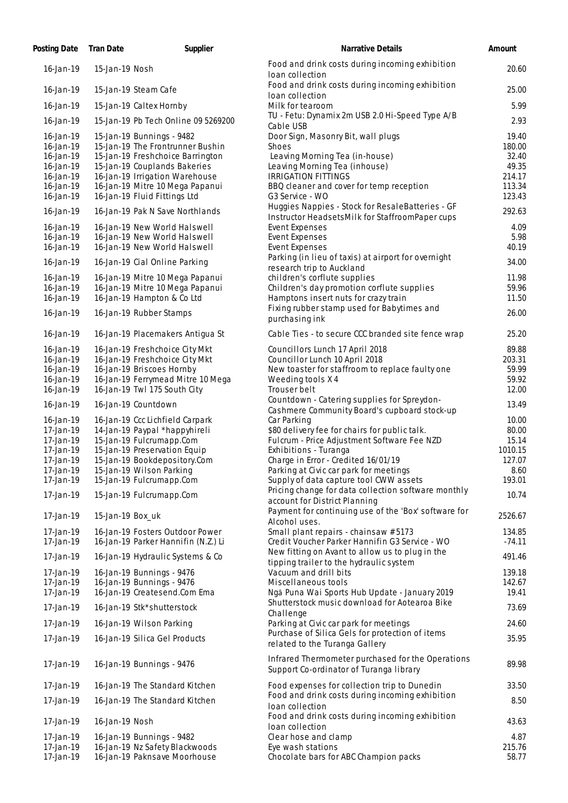| Posting Date           | <b>Tran Date</b> | Supplier                                                             | <b>Narrative Details</b>                                                                            | Amount            |
|------------------------|------------------|----------------------------------------------------------------------|-----------------------------------------------------------------------------------------------------|-------------------|
| $16 - Jan - 19$        | 15-Jan-19 Nosh   |                                                                      | Food and drink costs during incoming exhibition<br>loan collection                                  | 20.60             |
| 16-Jan-19              |                  | 15-Jan-19 Steam Cafe                                                 | Food and drink costs during incoming exhibition<br>loan collection                                  | 25.00             |
| $16 - $ Jan - $19$     |                  | 15-Jan-19 Caltex Hornby                                              | Milk for tearoom                                                                                    | 5.99              |
| 16-Jan-19              |                  | 15-Jan-19 Pb Tech Online 09 5269200                                  | TU - Fetu: Dynamix 2m USB 2.0 Hi-Speed Type A/B<br>Cable USB                                        | 2.93              |
| 16-Jan-19              |                  | 15-Jan-19 Bunnings - 9482                                            | Door Sign, Masonry Bit, wall plugs                                                                  | 19.40             |
| 16-Jan-19<br>16-Jan-19 |                  | 15-Jan-19 The Frontrunner Bushin<br>15-Jan-19 Freshchoice Barrington | Shoes<br>Leaving Morning Tea (in-house)                                                             | 180.00<br>32.40   |
| 16-Jan-19              |                  | 15-Jan-19 Couplands Bakeries                                         | Leaving Morning Tea (inhouse)                                                                       | 49.35             |
| 16-Jan-19              |                  | 16-Jan-19 Irrigation Warehouse                                       | <b>IRRIGATION FITTINGS</b>                                                                          | 214.17            |
| 16-Jan-19              |                  | 16-Jan-19 Mitre 10 Mega Papanui                                      | BBQ cleaner and cover for temp reception                                                            | 113.34            |
| 16-Jan-19              |                  | 16-Jan-19 Fluid Fittings Ltd                                         | G3 Service - WO                                                                                     | 123.43            |
| $16$ -Jan-19           |                  | 16-Jan-19 Pak N Save Northlands                                      | Huggies Nappies - Stock for ResaleBatteries - GF<br>Instructor HeadsetsMilk for StaffroomPaper cups | 292.63            |
| 16-Jan-19              |                  | 16-Jan-19 New World Halswell                                         | Event Expenses                                                                                      | 4.09              |
| 16-Jan-19<br>16-Jan-19 |                  | 16-Jan-19 New World Halswell<br>16-Jan-19 New World Halswell         | <b>Event Expenses</b><br><b>Event Expenses</b>                                                      | 5.98<br>40.19     |
|                        |                  |                                                                      | Parking (in lieu of taxis) at airport for overnight                                                 |                   |
| 16-Jan-19              |                  | 16-Jan-19 Cial Online Parking                                        | research trip to Auckland                                                                           | 34.00             |
| 16-Jan-19              |                  | 16-Jan-19 Mitre 10 Mega Papanui                                      | children's corflute supplies                                                                        | 11.98             |
| 16-Jan-19<br>16-Jan-19 |                  | 16-Jan-19 Mitre 10 Mega Papanui<br>16-Jan-19 Hampton & Co Ltd        | Children's day promotion corflute supplies<br>Hamptons insert nuts for crazy train                  | 59.96<br>11.50    |
|                        |                  |                                                                      | Fixing rubber stamp used for Babytimes and                                                          |                   |
| 16-Jan-19              |                  | 16-Jan-19 Rubber Stamps                                              | purchasing ink                                                                                      | 26.00             |
| 16-Jan-19              |                  | 16-Jan-19 Placemakers Antigua St                                     | Cable Ties - to secure CCC branded site fence wrap                                                  | 25.20             |
| 16-Jan-19              |                  | 16-Jan-19 Freshchoice City Mkt                                       | Councillors Lunch 17 April 2018                                                                     | 89.88             |
| 16-Jan-19<br>16-Jan-19 |                  | 16-Jan-19 Freshchoice City Mkt<br>16-Jan-19 Briscoes Hornby          | Councillor Lunch 10 April 2018<br>New toaster for staffroom to replace faulty one                   | 203.31<br>59.99   |
| 16-Jan-19              |                  | 16-Jan-19 Ferrymead Mitre 10 Mega                                    | Weeding tools X4                                                                                    | 59.92             |
| 16-Jan-19              |                  | 16-Jan-19 Twl 175 South City                                         | Trouser belt                                                                                        | 12.00             |
| 16-Jan-19              |                  | 16-Jan-19 Countdown                                                  | Countdown - Catering supplies for Spreydon-<br>Cashmere Community Board's cupboard stock-up         | 13.49             |
| 16-Jan-19              |                  | 16-Jan-19 Ccc Lichfield Carpark                                      | Car Parking                                                                                         | 10.00             |
| 17-Jan-19              |                  | 14-Jan-19 Paypal *happyhireli                                        | \$80 delivery fee for chairs for public talk.                                                       | 80.00             |
| 17-Jan-19              |                  | 15-Jan-19 Fulcrumapp.Com                                             | Fulcrum - Price Adjustment Software Fee NZD                                                         | 15.14             |
| 17-Jan-19<br>17-Jan-19 |                  | 15-Jan-19 Preservation Equip<br>15-Jan-19 Bookdepository.Com         | Exhibitions - Turanga<br>Charge in Error - Credited 16/01/19                                        | 1010.15<br>127.07 |
| $17$ -Jan-19           |                  | 15-Jan-19 Wilson Parking                                             | Parking at Civic car park for meetings                                                              | 8.60              |
| 17-Jan-19              |                  | 15-Jan-19 Fulcrumapp.Com                                             | Supply of data capture tool CWW assets                                                              | 193.01            |
| 17-Jan-19              |                  | 15-Jan-19 Fulcrumapp.Com                                             | Pricing change for data collection software monthly<br>account for District Planning                | 10.74             |
| 17-Jan-19              | 15-Jan-19 Box_uk |                                                                      | Payment for continuing use of the 'Box' software for<br>Alcohol uses.                               | 2526.67           |
| 17-Jan-19              |                  | 16-Jan-19 Fosters Outdoor Power                                      | Small plant repairs - chainsaw # 5173                                                               | 134.85            |
| 17-Jan-19              |                  | 16-Jan-19 Parker Hannifin (N.Z.) Li                                  | Credit Voucher Parker Hannifin G3 Service - WO                                                      | $-74.11$          |
| 17-Jan-19              |                  | 16-Jan-19 Hydraulic Systems & Co                                     | New fitting on Avant to allow us to plug in the<br>tipping trailer to the hydraulic system          | 491.46            |
| 17-Jan-19              |                  | 16-Jan-19 Bunnings - 9476                                            | Vacuum and drill bits                                                                               | 139.18            |
| 17-Jan-19<br>17-Jan-19 |                  | 16-Jan-19 Bunnings - 9476<br>16-Jan-19 Createsend.Com Ema            | Miscellaneous tools<br>Ngā Puna Wai Sports Hub Update - January 2019                                | 142.67<br>19.41   |
| 17-Jan-19              |                  | 16-Jan-19 Stk*shutterstock                                           | Shutterstock music download for Aotearoa Bike                                                       | 73.69             |
| $17$ -Jan-19           |                  | 16-Jan-19 Wilson Parking                                             | Challenge<br>Parking at Civic car park for meetings                                                 | 24.60             |
| 17-Jan-19              |                  | 16-Jan-19 Silica Gel Products                                        | Purchase of Silica Gels for protection of items                                                     | 35.95             |
|                        |                  |                                                                      | related to the Turanga Gallery                                                                      |                   |
| 17-Jan-19              |                  | 16-Jan-19 Bunnings - 9476                                            | Infrared Thermometer purchased for the Operations<br>Support Co-ordinator of Turanga library        | 89.98             |
| 17-Jan-19              |                  | 16-Jan-19 The Standard Kitchen                                       | Food expenses for collection trip to Dunedin                                                        | 33.50             |
| 17-Jan-19              |                  | 16-Jan-19 The Standard Kitchen                                       | Food and drink costs during incoming exhibition<br>loan collection                                  | 8.50              |
| 17-Jan-19              | 16-Jan-19 Nosh   |                                                                      | Food and drink costs during incoming exhibition<br>loan collection                                  | 43.63             |
| 17-Jan-19              |                  | 16-Jan-19 Bunnings - 9482                                            | Clear hose and clamp                                                                                | 4.87              |
| 17-Jan-19              |                  | 16-Jan-19 Nz Safety Blackwoods                                       | Eye wash stations                                                                                   | 215.76            |
| 17-Jan-19              |                  | 16-Jan-19 Paknsave Moorhouse                                         | Chocolate bars for ABC Champion packs                                                               | 58.77             |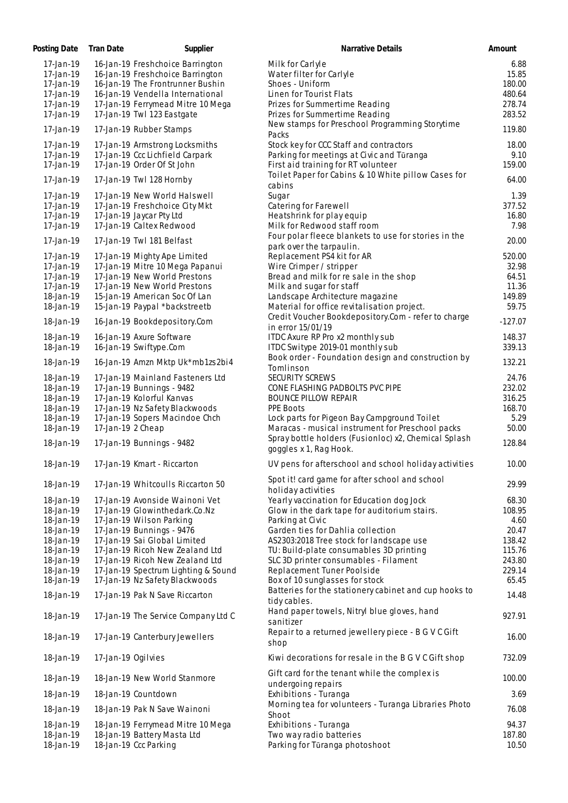| Posting Date | Tran Date          | Supplier                                                  | Narrative Details                                                             | Amount    |
|--------------|--------------------|-----------------------------------------------------------|-------------------------------------------------------------------------------|-----------|
| 17-Jan-19    |                    | 16-Jan-19 Freshchoice Barrington                          | Milk for Carlyle                                                              | 6.88      |
| 17-Jan-19    |                    | 16-Jan-19 Freshchoice Barrington                          | Water filter for Carlyle                                                      | 15.85     |
| 17-Jan-19    |                    | 16-Jan-19 The Frontrunner Bushin                          | Shoes - Uniform                                                               | 180.00    |
| 17-Jan-19    |                    | 16-Jan-19 Vendella International                          | Linen for Tourist Flats                                                       | 480.64    |
| 17-Jan-19    |                    | 17-Jan-19 Ferrymead Mitre 10 Mega                         | Prizes for Summertime Reading                                                 | 278.74    |
| 17-Jan-19    |                    | 17-Jan-19 Twl 123 Eastgate                                | Prizes for Summertime Reading                                                 | 283.52    |
|              |                    |                                                           | New stamps for Preschool Programming Storytime                                |           |
| 17-Jan-19    |                    | 17-Jan-19 Rubber Stamps                                   | Packs                                                                         | 119.80    |
| 17-Jan-19    |                    | 17-Jan-19 Armstrong Locksmiths                            | Stock key for CCC Staff and contractors                                       | 18.00     |
| 17-Jan-19    |                    | 17-Jan-19 Ccc Lichfield Carpark                           | Parking for meetings at Civic and Tūranga                                     | 9.10      |
| 17-Jan-19    |                    | 17-Jan-19 Order Of St John                                | First aid training for RT volunteer                                           | 159.00    |
|              |                    |                                                           | Toilet Paper for Cabins & 10 White pillow Cases for                           |           |
| 17-Jan-19    |                    | 17-Jan-19 Twl 128 Hornby                                  | cabins                                                                        | 64.00     |
| 17-Jan-19    |                    | 17-Jan-19 New World Halswell                              | Sugar                                                                         | 1.39      |
| 17-Jan-19    |                    | 17-Jan-19 Freshchoice City Mkt                            | Catering for Farewell                                                         | 377.52    |
| 17-Jan-19    |                    | 17-Jan-19 Jaycar Pty Ltd                                  | Heatshrink for play equip                                                     | 16.80     |
| 17-Jan-19    |                    | 17-Jan-19 Caltex Redwood                                  | Milk for Redwood staff room                                                   | 7.98      |
|              |                    |                                                           | Four polar fleece blankets to use for stories in the                          |           |
| 17-Jan-19    |                    | 17-Jan-19 Twl 181 Belfast                                 | park over the tarpaulin.                                                      | 20.00     |
| 17-Jan-19    |                    | 17-Jan-19 Mighty Ape Limited                              | Replacement PS4 kit for AR                                                    | 520.00    |
| 17-Jan-19    |                    | 17-Jan-19 Mitre 10 Mega Papanui                           | Wire Crimper / stripper                                                       | 32.98     |
| 17-Jan-19    |                    | 17-Jan-19 New World Prestons                              | Bread and milk for re sale in the shop                                        | 64.51     |
| 17-Jan-19    |                    | 17-Jan-19 New World Prestons                              | Milk and sugar for staff                                                      | 11.36     |
| 18-Jan-19    |                    | 15-Jan-19 American Soc Of Lan                             | Landscape Architecture magazine                                               | 149.89    |
| 18-Jan-19    |                    | 15-Jan-19 Paypal *backstreetb                             | Material for office revitalisation project.                                   | 59.75     |
|              |                    |                                                           | Credit Voucher Bookdepository.Com - refer to charge                           |           |
| 18-Jan-19    |                    | 16-Jan-19 Bookdepository.Com                              | in error 15/01/19                                                             | $-127.07$ |
| 18-Jan-19    |                    | 16-Jan-19 Axure Software                                  | ITDC Axure RP Pro x2 monthly sub                                              | 148.37    |
| 18-Jan-19    |                    | 16-Jan-19 Swiftype.Com                                    | ITDC Switype 2019-01 monthly sub                                              | 339.13    |
|              |                    |                                                           | Book order - Foundation design and construction by                            |           |
| 18-Jan-19    |                    | 16-Jan-19 Amzn Mktp Uk*mb1zs2bi4                          | Tomlinson                                                                     | 132.21    |
| 18-Jan-19    |                    | 17-Jan-19 Mainland Fasteners Ltd                          | SECURITY SCREWS                                                               | 24.76     |
| 18-Jan-19    |                    | 17-Jan-19 Bunnings - 9482                                 | CONE FLASHING PADBOLTS PVC PIPE                                               | 232.02    |
| 18-Jan-19    |                    | 17-Jan-19 Kolorful Kanvas                                 | <b>BOUNCE PILLOW REPAIR</b>                                                   | 316.25    |
| 18-Jan-19    |                    | 17-Jan-19 Nz Safety Blackwoods                            | PPE Boots                                                                     | 168.70    |
| 18-Jan-19    |                    | 17-Jan-19 Sopers Macindoe Chch                            | Lock parts for Pigeon Bay Campground Toilet                                   | 5.29      |
| 18-Jan-19    | 17-Jan-19 2 Cheap  |                                                           | Maracas - musical instrument for Preschool packs                              | 50.00     |
|              |                    |                                                           | Spray bottle holders (Fusionloc) x2, Chemical Splash                          |           |
| 18-Jan-19    |                    | 17-Jan-19 Bunnings - 9482                                 | goggles x 1, Rag Hook.                                                        | 128.84    |
|              |                    |                                                           |                                                                               |           |
| 18-Jan-19    |                    | 17-Jan-19 Kmart - Riccarton                               | UV pens for afterschool and school holiday activities                         | 10.00     |
|              |                    |                                                           | Spot it! card game for after school and school                                |           |
| 18-Jan-19    |                    | 17-Jan-19 Whitcoulls Riccarton 50                         | holiday activities                                                            | 29.99     |
| 18-Jan-19    |                    | 17-Jan-19 Avonside Wainoni Vet                            | Yearly vaccination for Education dog Jock                                     | 68.30     |
| 18-Jan-19    |                    | 17-Jan-19 Glowinthedark.Co.Nz                             | Glow in the dark tape for auditorium stairs.                                  | 108.95    |
| 18-Jan-19    |                    |                                                           |                                                                               | 4.60      |
|              |                    | 17-Jan-19 Wilson Parking                                  | Parking at Civic                                                              | 20.47     |
| 18-Jan-19    |                    | 17-Jan-19 Bunnings - 9476<br>17-Jan-19 Sai Global Limited | Garden ties for Dahlia collection<br>AS2303:2018 Tree stock for landscape use |           |
| 18-Jan-19    |                    |                                                           |                                                                               | 138.42    |
| 18-Jan-19    |                    | 17-Jan-19 Ricoh New Zealand Ltd                           | TU: Build-plate consumables 3D printing                                       | 115.76    |
| 18-Jan-19    |                    | 17-Jan-19 Ricoh New Zealand Ltd                           | SLC 3D printer consumables - Filament                                         | 243.80    |
| 18-Jan-19    |                    | 17-Jan-19 Spectrum Lighting & Sound                       | Replacement Tuner Poolside                                                    | 229.14    |
| 18-Jan-19    |                    | 17-Jan-19 Nz Safety Blackwoods                            | Box of 10 sunglasses for stock                                                | 65.45     |
| 18-Jan-19    |                    | 17-Jan-19 Pak N Save Riccarton                            | Batteries for the stationery cabinet and cup hooks to                         | 14.48     |
|              |                    |                                                           | tidy cables.                                                                  |           |
| 18-Jan-19    |                    | 17-Jan-19 The Service Company Ltd C                       | Hand paper towels, Nitryl blue gloves, hand                                   | 927.91    |
|              |                    |                                                           | sanitizer                                                                     |           |
| 18-Jan-19    |                    | 17-Jan-19 Canterbury Jewellers                            | Repair to a returned jewellery piece - B G V C Gift                           | 16.00     |
|              |                    |                                                           | shop                                                                          |           |
| 18-Jan-19    | 17-Jan-19 Ogilvies |                                                           | Kiwi decorations for resale in the B G V C Gift shop                          | 732.09    |
|              |                    |                                                           |                                                                               |           |
| 18-Jan-19    |                    | 18-Jan-19 New World Stanmore                              | Gift card for the tenant while the complex is                                 | 100.00    |
|              |                    |                                                           | undergoing repairs                                                            |           |
| 18-Jan-19    |                    | 18-Jan-19 Countdown                                       | Exhibitions - Turanga                                                         | 3.69      |
| 18-Jan-19    |                    | 18-Jan-19 Pak N Save Wainoni                              | Morning tea for volunteers - Turanga Libraries Photo                          | 76.08     |
|              |                    |                                                           | Shoot                                                                         |           |
| 18-Jan-19    |                    | 18-Jan-19 Ferrymead Mitre 10 Mega                         | Exhibitions - Turanga                                                         | 94.37     |
| 18-Jan-19    |                    | 18-Jan-19 Battery Masta Ltd                               | Two way radio batteries                                                       | 187.80    |
| 18-Jan-19    |                    | 18-Jan-19 Ccc Parking                                     | Parking for Tūranga photoshoot                                                | 10.50     |
|              |                    |                                                           |                                                                               |           |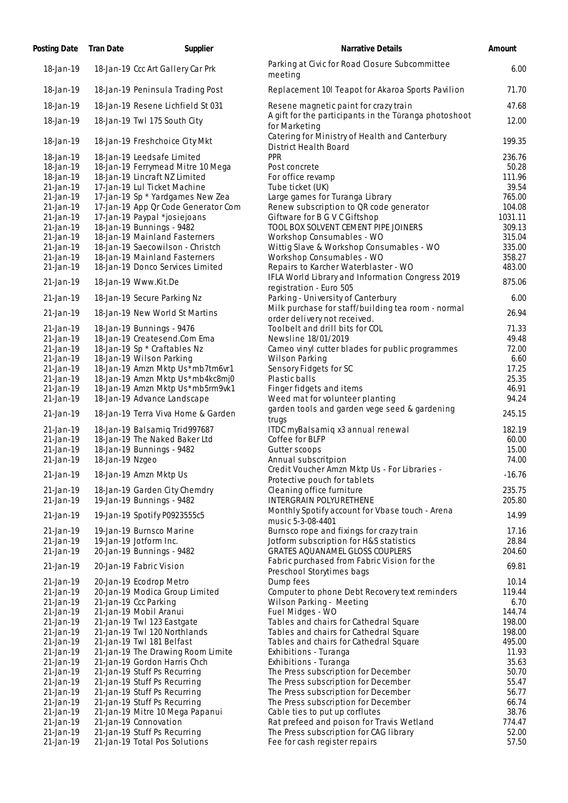| Posting Date           | <b>Tran Date</b> | Supplier                                                          | <b>Narrative Details</b>                                                                 | Amount          |
|------------------------|------------------|-------------------------------------------------------------------|------------------------------------------------------------------------------------------|-----------------|
| 18-Jan-19              |                  | 18-Jan-19 Ccc Art Gallery Car Prk                                 | Parking at Civic for Road Closure Subcommittee<br>meeting                                | 6.00            |
| 18-Jan-19              |                  | 18-Jan-19 Peninsula Trading Post                                  | Replacement 10I Teapot for Akaroa Sports Pavilion                                        | 71.70           |
| 18-Jan-19              |                  | 18-Jan-19 Resene Lichfield St 031                                 | Resene magnetic paint for crazy train                                                    | 47.68           |
| 18-Jan-19              |                  | 18-Jan-19 Twl 175 South City                                      | A gift for the participants in the Tūranga photoshoot<br>for Marketing                   | 12.00           |
| 18-Jan-19              |                  | 18-Jan-19 Freshchoice City Mkt                                    | Catering for Ministry of Health and Canterbury<br>District Health Board                  | 199.35          |
| 18-Jan-19              |                  | 18-Jan-19 Leedsafe Limited                                        | <b>PPR</b>                                                                               | 236.76          |
| 18-Jan-19              |                  | 18-Jan-19 Ferrymead Mitre 10 Mega                                 | Post concrete                                                                            | 50.28           |
| 18-Jan-19<br>21-Jan-19 |                  | 18-Jan-19 Lincraft NZ Limited<br>17-Jan-19 Lul Ticket Machine     | For office revamp<br>Tube ticket (UK)                                                    | 111.96<br>39.54 |
| 21-Jan-19              |                  | 17-Jan-19 Sp * Yardgames New Zea                                  | Large games for Turanga Library                                                          | 765.00          |
| 21-Jan-19              |                  | 17-Jan-19 App Or Code Generator Com                               | Renew subscription to QR code generator                                                  | 104.08          |
| 21-Jan-19              |                  | 17-Jan-19 Paypal *josiejoans                                      | Giftware for B G V C Giftshop                                                            | 1031.11         |
| $21$ -Jan-19           |                  | 18-Jan-19 Bunnings - 9482                                         | TOOL BOX SOLVENT CEMENT PIPE JOINERS                                                     | 309.13          |
| $21$ -Jan-19           |                  | 18-Jan-19 Mainland Fasterners                                     | Workshop Consumables - WO                                                                | 315.04          |
| 21-Jan-19              |                  | 18-Jan-19 Saecowilson - Christch                                  | Wittig Slave & Workshop Consumables - WO                                                 | 335.00          |
| 21-Jan-19              |                  | 18-Jan-19 Mainland Fasterners                                     | Workshop Consumables - WO                                                                | 358.27          |
| $21$ -Jan-19           |                  | 18-Jan-19 Donco Services Limited                                  | Repairs to Karcher Waterblaster - WO<br>IFLA World Library and Information Congress 2019 | 483.00          |
| 21-Jan-19              |                  | 18-Jan-19 Www.Kit.De                                              | registration - Euro 505                                                                  | 875.06          |
| 21-Jan-19              |                  | 18-Jan-19 Secure Parking Nz                                       | Parking - University of Canterbury<br>Milk purchase for staff/building tea room - normal | 6.00            |
| $21$ -Jan-19           |                  | 18-Jan-19 New World St Martins                                    | order delivery not received.                                                             | 26.94           |
| 21-Jan-19<br>21-Jan-19 |                  | 18-Jan-19 Bunnings - 9476<br>18-Jan-19 Createsend.Com Ema         | Toolbelt and drill bits for COL<br>Newsline 18/01/2019                                   | 71.33<br>49.48  |
| 21-Jan-19              |                  | 18-Jan-19 Sp * Craftables Nz                                      | Cameo vinyl cutter blades for public programmes                                          | 72.00           |
| $21$ -Jan-19           |                  | 18-Jan-19 Wilson Parking                                          | Wilson Parking                                                                           | 6.60            |
| 21-Jan-19              |                  | 18-Jan-19 Amzn Mktp Us*mb7tm6vr1                                  | Sensory Fidgets for SC                                                                   | 17.25           |
| 21-Jan-19              |                  | 18-Jan-19 Amzn Mktp Us *mb4kc8mj0                                 | Plastic balls                                                                            | 25.35           |
| 21-Jan-19              |                  | 18-Jan-19 Amzn Mktp Us*mb5rm9vk1                                  | Finger fidgets and items                                                                 | 46.91           |
| 21-Jan-19<br>21-Jan-19 |                  | 18-Jan-19 Advance Landscape<br>18-Jan-19 Terra Viva Home & Garden | Weed mat for volunteer planting<br>garden tools and garden vege seed & gardening         | 94.24<br>245.15 |
| 21-Jan-19              |                  | 18-Jan-19 Balsamiq Trid997687                                     | trugs<br>ITDC myBalsamiq x3 annual renewal                                               | 182.19          |
| 21-Jan-19              |                  | 18-Jan-19 The Naked Baker Ltd                                     | Coffee for BLFP                                                                          | 60.00           |
| 21-Jan-19              |                  | 18-Jan-19 Bunnings - 9482                                         | Gutter scoops                                                                            | 15.00           |
| 21-Jan-19              | 18-Jan-19 Nzgeo  |                                                                   | Annual subscritpion                                                                      | 74.00           |
| 21-Jan-19              |                  | 18-Jan-19 Amzn Mktp Us                                            | Credit Voucher Amzn Mktp Us - For Libraries -<br>Protective pouch for tablets            | $-16.76$        |
| 21-Jan-19              |                  | 18-Jan-19 Garden City Chemdry                                     | Cleaning office furniture                                                                | 235.75          |
| 21-Jan-19              |                  | 19-Jan-19 Bunnings - 9482                                         | <b>INTERGRAIN POLYURETHENE</b>                                                           | 205.80          |
| 21-Jan-19              |                  | 19-Jan-19 Spotify P0923555c5                                      | Monthly Spotify account for Vbase touch - Arena<br>music 5-3-08-4401                     | 14.99           |
| 21-Jan-19<br>21-Jan-19 |                  | 19-Jan-19 Burnsco Marine<br>19-Jan-19 Jotform Inc.                | Burnsco rope and fixings for crazy train<br>Jotform subscription for H&S statistics      | 17.16<br>28.84  |
| 21-Jan-19              |                  | 20-Jan-19 Bunnings - 9482                                         | GRATES AQUANAMEL GLOSS COUPLERS                                                          | 204.60          |
| 21-Jan-19              |                  | 20-Jan-19 Fabric Vision                                           | Fabric purchased from Fabric Vision for the<br>Preschool Storytimes bags                 | 69.81           |
| 21-Jan-19              |                  | 20-Jan-19 Ecodrop Metro                                           | Dump fees                                                                                | 10.14           |
| 21-Jan-19              |                  | 20-Jan-19 Modica Group Limited                                    | Computer to phone Debt Recovery text reminders                                           | 119.44          |
| 21-Jan-19              |                  | 21-Jan-19 Ccc Parking                                             | Wilson Parking - Meeting                                                                 | 6.70            |
| 21-Jan-19              |                  | 21-Jan-19 Mobil Aranui                                            | Fuel Midges - WO                                                                         | 144.74          |
| 21-Jan-19              |                  | 21-Jan-19 Twl 123 Eastgate                                        | Tables and chairs for Cathedral Square                                                   | 198.00          |
| 21-Jan-19              |                  | 21-Jan-19 Twl 120 Northlands                                      | Tables and chairs for Cathedral Square                                                   | 198.00          |
| 21-Jan-19              |                  | 21-Jan-19 Twl 181 Belfast                                         | Tables and chairs for Cathedral Square                                                   | 495.00          |
| 21-Jan-19<br>21-Jan-19 |                  | 21-Jan-19 The Drawing Room Limite<br>21-Jan-19 Gordon Harris Chch | Exhibitions - Turanga                                                                    | 11.93<br>35.63  |
| 21-Jan-19              |                  | 21-Jan-19 Stuff Ps Recurring                                      | Exhibitions - Turanga<br>The Press subscription for December                             | 50.70           |
| 21-Jan-19              |                  | 21-Jan-19 Stuff Ps Recurring                                      | The Press subscription for December                                                      | 55.47           |
| 21-Jan-19              |                  | 21-Jan-19 Stuff Ps Recurring                                      | The Press subscription for December                                                      | 56.77           |
| 21-Jan-19              |                  | 21-Jan-19 Stuff Ps Recurring                                      | The Press subscription for December                                                      | 66.74           |
| 21-Jan-19              |                  | 21-Jan-19 Mitre 10 Mega Papanui                                   | Cable ties to put up corflutes                                                           | 38.76           |
| 21-Jan-19              |                  | 21-Jan-19 Connovation                                             | Rat prefeed and poison for Travis Wetland                                                | 774.47          |
| 21-Jan-19              |                  | 21-Jan-19 Stuff Ps Recurring                                      | The Press subscription for CAG library                                                   | 52.00           |
| 21-Jan-19              |                  | 21-Jan-19 Total Pos Solutions                                     | Fee for cash register repairs                                                            | 57.50           |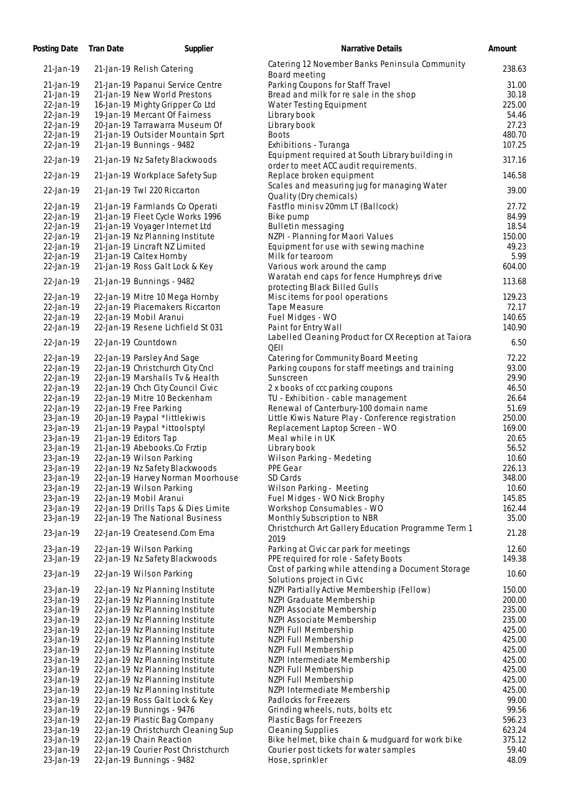| Posting Date           | <b>Tran Date</b> | Supplier                                                           | <b>Narrative Details</b>                                                                    | Amount          |
|------------------------|------------------|--------------------------------------------------------------------|---------------------------------------------------------------------------------------------|-----------------|
| 21-Jan-19              |                  | 21-Jan-19 Relish Catering                                          | Catering 12 November Banks Peninsula Community<br>Board meeting                             | 238.63          |
| 21-Jan-19              |                  | 21-Jan-19 Papanui Service Centre                                   | Parking Coupons for Staff Travel                                                            | 31.00           |
| 21-Jan-19              |                  | 21-Jan-19 New World Prestons                                       | Bread and milk for re sale in the shop                                                      | 30.18           |
| 22-Jan-19              |                  | 16-Jan-19 Mighty Gripper Co Ltd                                    | Water Testing Equipment                                                                     | 225.00          |
| 22-Jan-19              |                  | 19-Jan-19 Mercant Of Fairness                                      | Library book                                                                                | 54.46           |
| 22-Jan-19              |                  | 20-Jan-19 Tarrawarra Museum Of                                     | Library book                                                                                | 27.23           |
| 22-Jan-19              |                  | 21-Jan-19 Outsider Mountain Sprt                                   | <b>Boots</b>                                                                                | 480.70          |
| 22-Jan-19              |                  | 21-Jan-19 Bunnings - 9482                                          | Exhibitions - Turanga                                                                       | 107.25          |
| 22-Jan-19              |                  | 21-Jan-19 Nz Safety Blackwoods                                     | Equipment required at South Library building in<br>order to meet ACC audit requirements.    | 317.16          |
| 22-Jan-19              |                  | 21-Jan-19 Workplace Safety Sup                                     | Replace broken equipment<br>Scales and measuring jug for managing Water                     | 146.58          |
| 22-Jan-19              |                  | 21-Jan-19 Twl 220 Riccarton                                        | Quality (Dry chemicals)                                                                     | 39.00           |
| 22-Jan-19<br>22-Jan-19 |                  | 21-Jan-19 Farmlands Co Operati                                     | Fastflo minisv 20mm LT (Ballcock)                                                           | 27.72<br>84.99  |
| 22-Jan-19              |                  | 21-Jan-19 Fleet Cycle Works 1996<br>21-Jan-19 Voyager Internet Ltd | Bike pump<br>Bulletin messaging                                                             | 18.54           |
| 22-Jan-19              |                  | 21-Jan-19 Nz Planning Institute                                    | NZPI - Planning for Maori Values                                                            | 150.00          |
| 22-Jan-19              |                  | 21-Jan-19 Lincraft NZ Limited                                      | Equipment for use with sewing machine                                                       | 49.23           |
| 22-Jan-19              |                  | 21-Jan-19 Caltex Hornby                                            | Milk for tearoom                                                                            | 5.99            |
| 22-Jan-19              |                  | 21-Jan-19 Ross Galt Lock & Key                                     | Various work around the camp                                                                | 604.00          |
|                        |                  |                                                                    | Waratah end caps for fence Humphreys drive                                                  |                 |
| 22-Jan-19              |                  | 21-Jan-19 Bunnings - 9482                                          | protecting Black Billed Gulls                                                               | 113.68          |
| 22-Jan-19              |                  | 22-Jan-19 Mitre 10 Mega Hornby                                     | Misc items for pool operations                                                              | 129.23          |
| 22-Jan-19              |                  | 22-Jan-19 Placemakers Riccarton                                    | Tape Measure                                                                                | 72.17           |
| 22-Jan-19              |                  | 22-Jan-19 Mobil Aranui                                             | Fuel Midges - WO                                                                            | 140.65          |
| 22-Jan-19              |                  | 22-Jan-19 Resene Lichfield St 031                                  | Paint for Entry Wall                                                                        | 140.90          |
| 22-Jan-19              |                  | 22-Jan-19 Countdown                                                | Labelled Cleaning Product for CX Reception at Taiora<br><b>QEII</b>                         | 6.50            |
| 22-Jan-19              |                  | 22-Jan-19 Parsley And Sage                                         | Catering for Community Board Meeting                                                        | 72.22           |
| 22-Jan-19              |                  | 22-Jan-19 Christchurch City Cncl                                   | Parking coupons for staff meetings and training                                             | 93.00           |
| 22-Jan-19              |                  | 22-Jan-19 Marshalls Tv & Health                                    | Sunscreen                                                                                   | 29.90           |
| 22-Jan-19              |                  | 22-Jan-19 Chch City Council Civic                                  | 2 x books of ccc parking coupons                                                            | 46.50           |
| 22-Jan-19              |                  | 22-Jan-19 Mitre 10 Beckenham                                       | TU - Exhibition - cable management                                                          | 26.64           |
| 22-Jan-19<br>23-Jan-19 |                  | 22-Jan-19 Free Parking                                             | Renewal of Canterbury-100 domain name<br>Little Kiwis Nature Play - Conference registration | 51.69<br>250.00 |
| 23-Jan-19              |                  | 20-Jan-19 Paypal *littlekiwis<br>21-Jan-19 Paypal *ittoolsptyl     | Replacement Laptop Screen - WO                                                              | 169.00          |
| 23-Jan-19              |                  | 21-Jan-19 Editors Tap                                              | Meal while in UK                                                                            | 20.65           |
| 23-Jan-19              |                  | 21-Jan-19 Abebooks.Co Frztip                                       | Library book                                                                                | 56.52           |
| 23-Jan-19              |                  | 22-Jan-19 Wilson Parking                                           | Wilson Parking - Medeting                                                                   | 10.60           |
| 23-Jan-19              |                  | 22-Jan-19 Nz Safety Blackwoods                                     | PPE Gear                                                                                    | 226.13          |
| 23-Jan-19              |                  | 22-Jan-19 Harvey Norman Moorhouse                                  | SD Cards                                                                                    | 348.00          |
| 23-Jan-19              |                  | 22-Jan-19 Wilson Parking                                           | Wilson Parking - Meeting                                                                    | 10.60           |
| 23-Jan-19              |                  | 22-Jan-19 Mobil Aranui                                             | Fuel Midges - WO Nick Brophy                                                                | 145.85          |
| 23-Jan-19              |                  | 22-Jan-19 Drills Taps & Dies Limite                                | Workshop Consumables - WO                                                                   | 162.44          |
| 23-Jan-19              |                  | 22-Jan-19 The National Business                                    | Monthly Subscription to NBR                                                                 | 35.00           |
| 23-Jan-19              |                  | 22-Jan-19 Createsend.Com Ema                                       | Christchurch Art Gallery Education Programme Term 1<br>2019                                 | 21.28           |
| 23-Jan-19              |                  | 22-Jan-19 Wilson Parking                                           | Parking at Civic car park for meetings                                                      | 12.60           |
| 23-Jan-19              |                  | 22-Jan-19 Nz Safety Blackwoods                                     | PPE required for role - Safety Boots                                                        | 149.38          |
| 23-Jan-19              |                  | 22-Jan-19 Wilson Parking                                           | Cost of parking while attending a Document Storage<br>Solutions project in Civic            | 10.60           |
| 23-Jan-19              |                  | 22-Jan-19 Nz Planning Institute                                    | NZPI Partially Active Membership (Fellow)                                                   | 150.00          |
| 23-Jan-19              |                  | 22-Jan-19 Nz Planning Institute                                    | NZPI Graduate Membership                                                                    | 200.00          |
| 23-Jan-19              |                  | 22-Jan-19 Nz Planning Institute                                    | NZPI Associate Membership                                                                   | 235.00          |
| 23-Jan-19              |                  | 22-Jan-19 Nz Planning Institute                                    | NZPI Associate Membership                                                                   | 235.00          |
| 23-Jan-19              |                  | 22-Jan-19 Nz Planning Institute                                    | NZPI Full Membership                                                                        | 425.00          |
| 23-Jan-19              |                  | 22-Jan-19 Nz Planning Institute                                    | NZPI Full Membership                                                                        | 425.00          |
| 23-Jan-19              |                  | 22-Jan-19 Nz Planning Institute                                    | NZPI Full Membership                                                                        | 425.00          |
| 23-Jan-19              |                  | 22-Jan-19 Nz Planning Institute                                    | NZPI Intermediate Membership                                                                | 425.00          |
| 23-Jan-19              |                  | 22-Jan-19 Nz Planning Institute                                    | NZPI Full Membership                                                                        | 425.00          |
| 23-Jan-19              |                  | 22-Jan-19 Nz Planning Institute                                    | NZPI Full Membership                                                                        | 425.00          |
| 23-Jan-19              |                  | 22-Jan-19 Nz Planning Institute                                    | NZPI Intermediate Membership<br>Padlocks for Freezers                                       | 425.00          |
| 23-Jan-19<br>23-Jan-19 |                  | 22-Jan-19 Ross Galt Lock & Key                                     |                                                                                             | 99.00<br>99.56  |
| 23-Jan-19              |                  | 22-Jan-19 Bunnings - 9476<br>22-Jan-19 Plastic Bag Company         | Grinding wheels, nuts, bolts etc<br>Plastic Bags for Freezers                               | 596.23          |
| 23-Jan-19              |                  | 22-Jan-19 Christchurch Cleaning Sup                                | Cleaning Supplies                                                                           | 623.24          |
| 23-Jan-19              |                  | 22-Jan-19 Chain Reaction                                           | Bike helmet, bike chain & mudguard for work bike                                            | 375.12          |
| 23-Jan-19              |                  | 22-Jan-19 Courier Post Christchurch                                | Courier post tickets for water samples                                                      | 59.40           |
| 23-Jan-19              |                  | 22-Jan-19 Bunnings - 9482                                          | Hose, sprinkler                                                                             | 48.09           |
|                        |                  |                                                                    |                                                                                             |                 |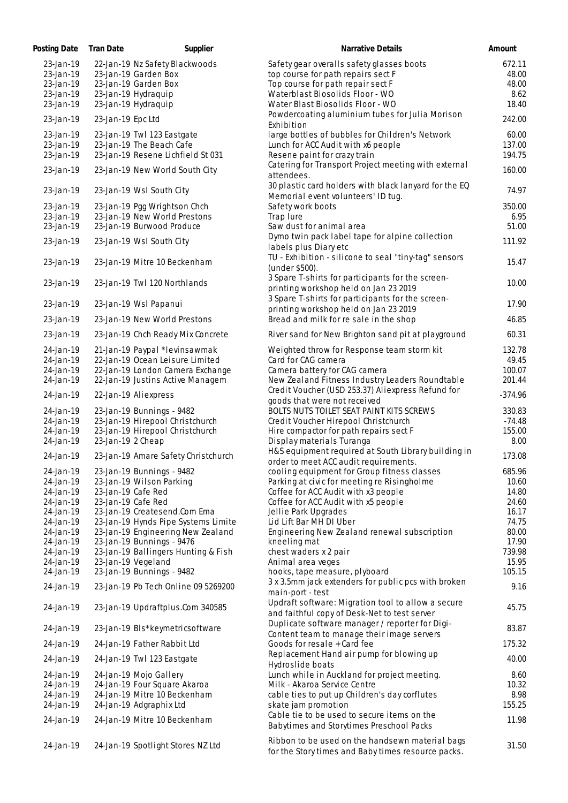| Posting Date           | Tran Date<br>Supplier                                            | Narrative Details                                                                                     | Amount         |
|------------------------|------------------------------------------------------------------|-------------------------------------------------------------------------------------------------------|----------------|
| 23-Jan-19              | 22-Jan-19 Nz Safety Blackwoods                                   | Safety gear overalls safety glasses boots                                                             | 672.11         |
| 23-Jan-19              | 23-Jan-19 Garden Box                                             | top course for path repairs sect F                                                                    | 48.00          |
| 23-Jan-19              | 23-Jan-19 Garden Box                                             | Top course for path repair sect F                                                                     | 48.00          |
| 23-Jan-19              | 23-Jan-19 Hydraquip                                              | Waterblast Biosolids Floor - WO                                                                       | 8.62           |
| 23-Jan-19              | 23-Jan-19 Hydraquip                                              | Water Blast Biosolids Floor - WO                                                                      | 18.40          |
| 23-Jan-19              | 23-Jan-19 Epc Ltd                                                | Powdercoating aluminium tubes for Julia Morison<br>Exhibition                                         | 242.00         |
| 23-Jan-19              | 23-Jan-19 Twl 123 Eastgate                                       | large bottles of bubbles for Children's Network                                                       | 60.00          |
| 23-Jan-19              | 23-Jan-19 The Beach Cafe                                         | Lunch for ACC Audit with x6 people                                                                    | 137.00         |
| 23-Jan-19              | 23-Jan-19 Resene Lichfield St 031                                | Resene paint for crazy train                                                                          | 194.75         |
| 23-Jan-19              | 23-Jan-19 New World South City                                   | Catering for Transport Project meeting with external<br>attendees.                                    | 160.00         |
| 23-Jan-19              | 23-Jan-19 Wsl South City                                         | 30 plastic card holders with black lanyard for the EQ<br>Memorial event volunteers' ID tug.           | 74.97          |
| 23-Jan-19              | 23-Jan-19 Pgg Wrightson Chch                                     | Safety work boots                                                                                     | 350.00         |
| 23-Jan-19              | 23-Jan-19 New World Prestons                                     | Trap lure                                                                                             | 6.95           |
| 23-Jan-19              | 23-Jan-19 Burwood Produce                                        | Saw dust for animal area                                                                              | 51.00          |
| 23-Jan-19              | 23-Jan-19 Wsl South City                                         | Dymo twin pack label tape for alpine collection<br>labels plus Diary etc                              | 111.92         |
| 23-Jan-19              | 23-Jan-19 Mitre 10 Beckenham                                     | TU - Exhibition - silicone to seal "tiny-tag" sensors                                                 | 15.47          |
| 23-Jan-19              | 23-Jan-19 Twl 120 Northlands                                     | (under \$500).<br>3 Spare T-shirts for participants for the screen-                                   | 10.00          |
|                        |                                                                  | printing workshop held on Jan 23 2019<br>3 Spare T-shirts for participants for the screen-            |                |
| 23-Jan-19              | 23-Jan-19 Wsl Papanui                                            | printing workshop held on Jan 23 2019                                                                 | 17.90          |
| 23-Jan-19              | 23-Jan-19 New World Prestons                                     | Bread and milk for re sale in the shop                                                                | 46.85          |
| 23-Jan-19              | 23-Jan-19 Chch Ready Mix Concrete                                | River sand for New Brighton sand pit at playground                                                    | 60.31          |
| 24-Jan-19              | 21-Jan-19 Paypal *levinsawmak                                    | Weighted throw for Response team storm kit                                                            | 132.78         |
| 24-Jan-19              | 22-Jan-19 Ocean Leisure Limited                                  | Card for CAG camera                                                                                   | 49.45          |
| 24-Jan-19              | 22-Jan-19 London Camera Exchange                                 | Camera battery for CAG camera                                                                         | 100.07         |
| 24-Jan-19              | 22-Jan-19 Justins Active Managem                                 | New Zealand Fitness Industry Leaders Roundtable                                                       | 201.44         |
| 24-Jan-19              | 22-Jan-19 Aliexpress                                             | Credit Voucher (USD 253.37) Aliexpress Refund for<br>goods that were not received                     | $-374.96$      |
| 24-Jan-19              | 23-Jan-19 Bunnings - 9482                                        | BOLTS NUTS TOILET SEAT PAINT KITS SCREWS                                                              | 330.83         |
| 24-Jan-19              | 23-Jan-19 Hirepool Christchurch                                  | Credit Voucher Hirepool Christchurch                                                                  | $-74.48$       |
| 24-Jan-19              | 23-Jan-19 Hirepool Christchurch                                  | Hire compactor for path repairs sect F                                                                | 155.00         |
| 24-Jan-19              | 23-Jan-19 2 Cheap                                                | Display materials Turanga                                                                             | 8.00           |
|                        | 23-Jan-19 Amare Safety Christchurch                              | H&S equipment required at South Library building in                                                   | 173.08         |
| 24-Jan-19              |                                                                  | order to meet ACC audit requirements.                                                                 |                |
| 24-Jan-19              | 23-Jan-19 Bunnings - 9482                                        | cooling equipment for Group fitness classes                                                           | 685.96         |
| 24-Jan-19              | 23-Jan-19 Wilson Parking                                         | Parking at civic for meeting re Risingholme                                                           | 10.60          |
| 24-Jan-19              | 23-Jan-19 Cafe Red                                               | Coffee for ACC Audit with x3 people                                                                   | 14.80          |
| 24-Jan-19              | 23-Jan-19 Cafe Red                                               | Coffee for ACC Audit with x5 people                                                                   | 24.60          |
| 24-Jan-19              | 23-Jan-19 Createsend.Com Ema                                     | Jellie Park Upgrades                                                                                  | 16.17          |
| 24-Jan-19              | 23-Jan-19 Hynds Pipe Systems Limite                              | Lid Lift Bar MH DI Uber                                                                               | 74.75          |
| 24-Jan-19              | 23-Jan-19 Engineering New Zealand                                | Engineering New Zealand renewal subscription                                                          | 80.00          |
| 24-Jan-19              | 23-Jan-19 Bunnings - 9476                                        | kneeling mat                                                                                          | 17.90          |
| 24-Jan-19              | 23-Jan-19 Ballingers Hunting & Fish                              | chest waders x 2 pair                                                                                 | 739.98         |
| 24-Jan-19              | 23-Jan-19 Vegeland                                               | Animal area veges                                                                                     | 15.95          |
| 24-Jan-19<br>24-Jan-19 | 23-Jan-19 Bunnings - 9482<br>23-Jan-19 Pb Tech Online 09 5269200 | hooks, tape measure, plyboard<br>3 x 3.5mm jack extenders for public pcs with broken                  | 105.15<br>9.16 |
| 24-Jan-19              | 23-Jan-19 Updraftplus.Com 340585                                 | main-port - test<br>Updraft software: Migration tool to allow a secure                                | 45.75          |
|                        |                                                                  | and faithful copy of Desk-Net to test server<br>Duplicate software manager / reporter for Digi-       |                |
| 24-Jan-19              | 23-Jan-19 Bls*keymetricsoftware                                  | Content team to manage their image servers                                                            | 83.87          |
| 24-Jan-19              | 24-Jan-19 Father Rabbit Ltd                                      | Goods for resale + Card fee<br>Replacement Hand air pump for blowing up                               | 175.32         |
| 24-Jan-19              | 24-Jan-19 Twl 123 Eastgate                                       | Hydroslide boats                                                                                      | 40.00          |
| 24-Jan-19              | 24-Jan-19 Mojo Gallery                                           | Lunch while in Auckland for project meeting.                                                          | 8.60           |
| 24-Jan-19              | 24-Jan-19 Four Square Akaroa                                     | Milk - Akaroa Service Centre                                                                          | 10.32          |
| 24-Jan-19              | 24-Jan-19 Mitre 10 Beckenham                                     | cable ties to put up Children's day corflutes                                                         | 8.98           |
| 24-Jan-19              | 24-Jan-19 Adgraphix Ltd                                          | skate jam promotion                                                                                   | 155.25         |
| 24-Jan-19              | 24-Jan-19 Mitre 10 Beckenham                                     | Cable tie to be used to secure items on the<br>Babytimes and Storytimes Preschool Packs               | 11.98          |
| 24-Jan-19              | 24-Jan-19 Spotlight Stores NZ Ltd                                | Ribbon to be used on the handsewn material bags<br>for the Story times and Baby times resource packs. | 31.50          |